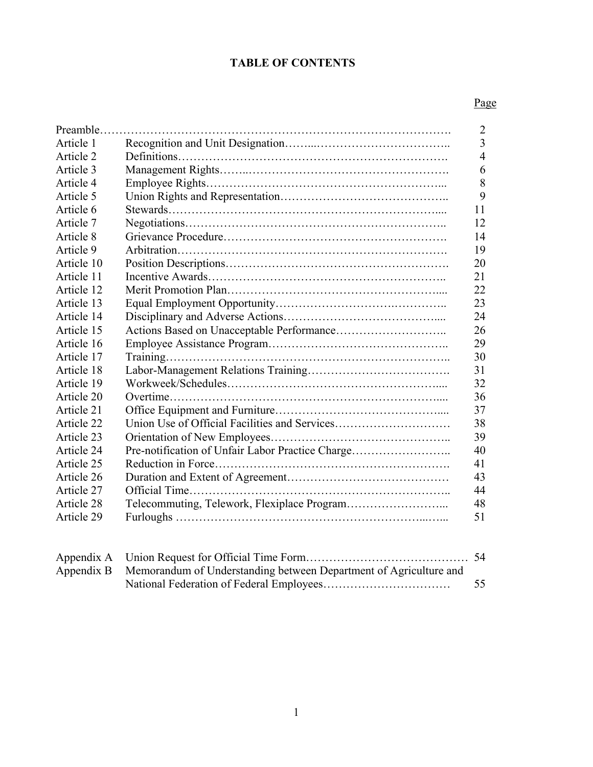# **TABLE OF CONTENTS**

# Page

| Preamble   |                                                  | $\overline{2}$ |
|------------|--------------------------------------------------|----------------|
| Article 1  |                                                  | $\overline{3}$ |
| Article 2  |                                                  | $\overline{4}$ |
| Article 3  |                                                  | 6              |
| Article 4  |                                                  | 8              |
| Article 5  |                                                  | 9              |
| Article 6  |                                                  | 11             |
| Article 7  |                                                  | 12             |
| Article 8  |                                                  | 14             |
| Article 9  |                                                  | 19             |
| Article 10 |                                                  | 20             |
| Article 11 |                                                  | 21             |
| Article 12 |                                                  | 22             |
| Article 13 |                                                  | 23             |
| Article 14 |                                                  | 24             |
| Article 15 |                                                  | 26             |
| Article 16 |                                                  | 29             |
| Article 17 |                                                  | 30             |
| Article 18 |                                                  | 31             |
| Article 19 |                                                  | 32             |
| Article 20 |                                                  | 36             |
| Article 21 |                                                  | 37             |
| Article 22 | Union Use of Official Facilities and Services    | 38             |
| Article 23 |                                                  | 39             |
| Article 24 | Pre-notification of Unfair Labor Practice Charge | 40             |
| Article 25 |                                                  | 41             |
| Article 26 |                                                  | 43             |
| Article 27 |                                                  | 44             |
| Article 28 |                                                  | 48             |
| Article 29 |                                                  | 51             |
|            |                                                  |                |

| Appendix B Memorandum of Understanding between Department of Agriculture and |    |
|------------------------------------------------------------------------------|----|
|                                                                              | 55 |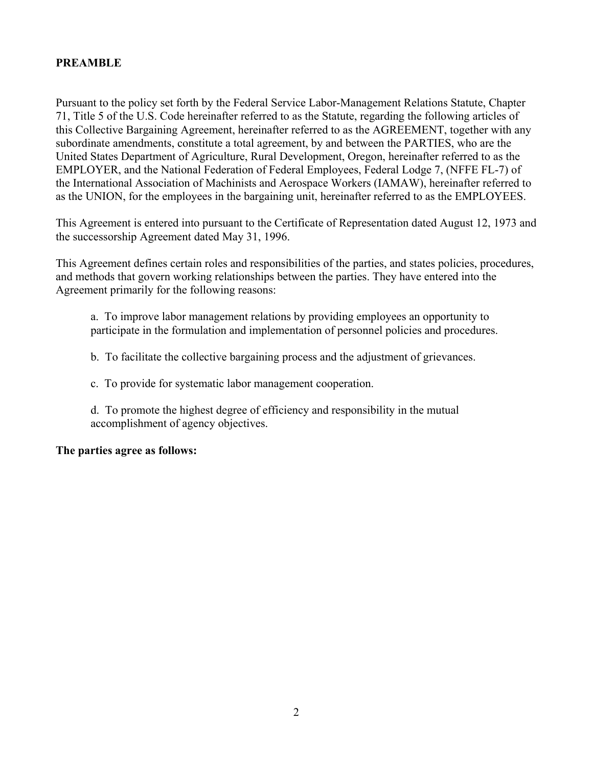### <span id="page-1-0"></span>**PREAMBLE**

 Pursuant to the policy set forth by the Federal Service Labor-Management Relations Statute, Chapter 71, Title 5 of the U.S. Code hereinafter referred to as the Statute, regarding the following articles of subordinate amendments, constitute a total agreement, by and between the PARTIES, who are the United States Department of Agriculture, Rural Development, Oregon, hereinafter referred to as the the International Association of Machinists and Aerospace Workers (IAMAW), hereinafter referred to as the UNION, for the employees in the bargaining unit, hereinafter referred to as the EMPLOYEES. this Collective Bargaining Agreement, hereinafter referred to as the AGREEMENT, together with any EMPLOYER, and the National Federation of Federal Employees, Federal Lodge 7, (NFFE FL-7) of

the successorship Agreement dated May 31, 1996. This Agreement is entered into pursuant to the Certificate of Representation dated August 12, 1973 and

This Agreement defines certain roles and responsibilities of the parties, and states policies, procedures, and methods that govern working relationships between the parties. They have entered into the Agreement primarily for the following reasons:

a. To improve labor management relations by providing employees an opportunity to participate in the formulation and implementation of personnel policies and procedures.

b. To facilitate the collective bargaining process and the adjustment of grievances.

c. To provide for systematic labor management cooperation.

 d. To promote the highest degree of efficiency and responsibility in the mutual accomplishment of agency objectives.

#### **The parties agree as follows:**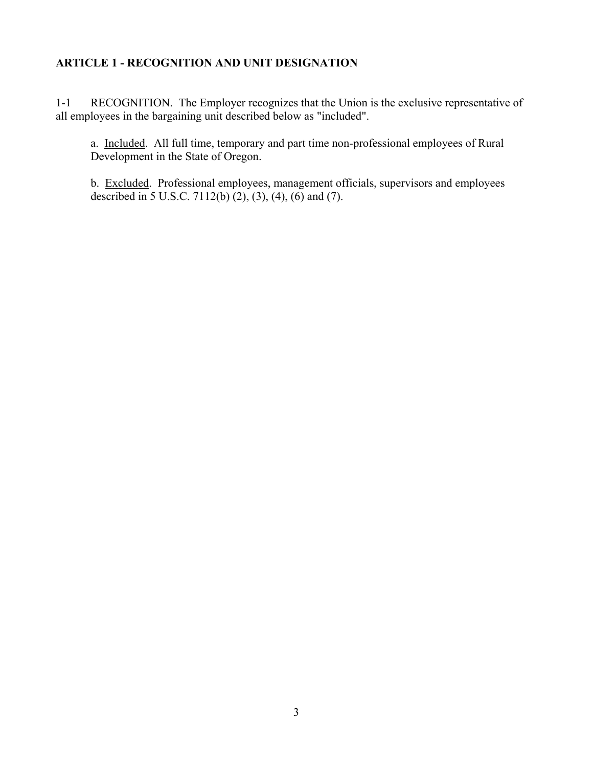#### <span id="page-2-0"></span>**ARTICLE 1 - RECOGNITION AND UNIT DESIGNATION**

 1-1 RECOGNITION. The Employer recognizes that the Union is the exclusive representative of all employees in the bargaining unit described below as "included".

a. Included. All full time, temporary and part time non-professional employees of Rural Development in the State of Oregon.

b. Excluded. Professional employees, management officials, supervisors and employees described in 5 U.S.C. 7112(b)  $(2)$ ,  $(3)$ ,  $(4)$ ,  $(6)$  and  $(7)$ .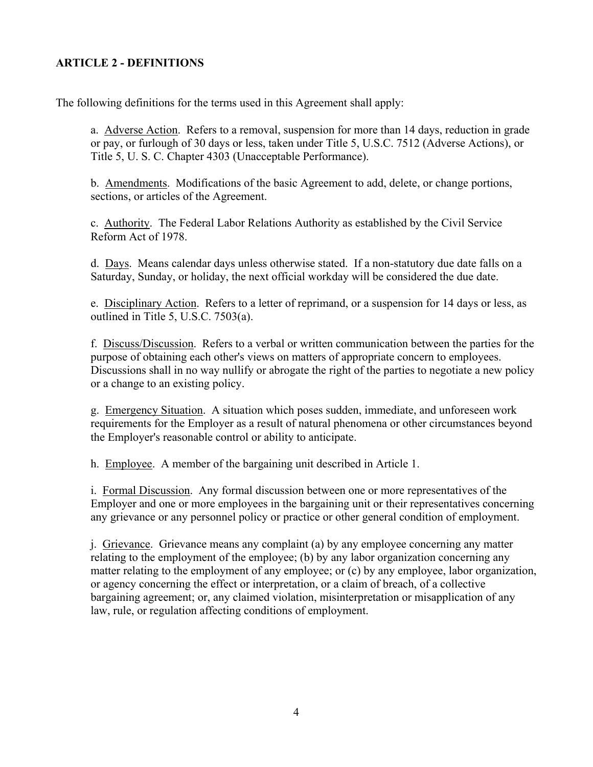# <span id="page-3-0"></span>**ARTICLE 2 - DEFINITIONS**

The following definitions for the terms used in this Agreement shall apply:

a. Adverse Action. Refers to a removal, suspension for more than 14 days, reduction in grade or pay, or furlough of 30 days or less, taken under Title 5, U.S.C. 7512 (Adverse Actions), or Title 5, U. S. C. Chapter 4303 (Unacceptable Performance).

b. Amendments. Modifications of the basic Agreement to add, delete, or change portions, sections, or articles of the Agreement.

 Reform Act of 1978. c. Authority. The Federal Labor Relations Authority as established by the Civil Service

d. Days. Means calendar days unless otherwise stated. If a non-statutory due date falls on a Saturday, Sunday, or holiday, the next official workday will be considered the due date.

e. Disciplinary Action. Refers to a letter of reprimand, or a suspension for 14 days or less, as outlined in Title 5, U.S.C. 7503(a).

 f. Discuss/Discussion. Refers to a verbal or written communication between the parties for the Discussions shall in no way nullify or abrogate the right of the parties to negotiate a new policy purpose of obtaining each other's views on matters of appropriate concern to employees. or a change to an existing policy.

g. Emergency Situation. A situation which poses sudden, immediate, and unforeseen work requirements for the Employer as a result of natural phenomena or other circumstances beyond the Employer's reasonable control or ability to anticipate.

h. Employee. A member of the bargaining unit described in Article 1.

 i. Formal Discussion. Any formal discussion between one or more representatives of the Employer and one or more employees in the bargaining unit or their representatives concerning any grievance or any personnel policy or practice or other general condition of employment.

j. Grievance. Grievance means any complaint (a) by any employee concerning any matter relating to the employment of the employee; (b) by any labor organization concerning any matter relating to the employment of any employee; or (c) by any employee, labor organization, or agency concerning the effect or interpretation, or a claim of breach, of a collective bargaining agreement; or, any claimed violation, misinterpretation or misapplication of any law, rule, or regulation affecting conditions of employment.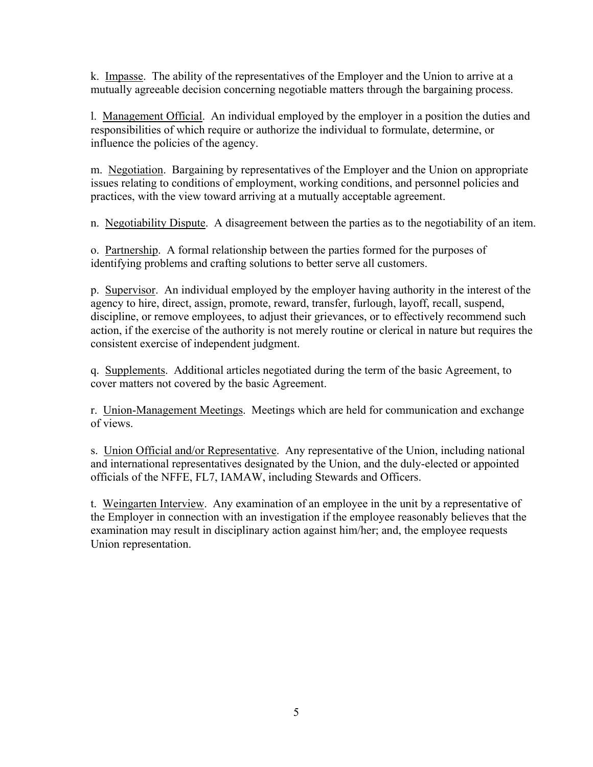k. Impasse. The ability of the representatives of the Employer and the Union to arrive at a mutually agreeable decision concerning negotiable matters through the bargaining process.

l. Management Official. An individual employed by the employer in a position the duties and responsibilities of which require or authorize the individual to formulate, determine, or influence the policies of the agency.

m. Negotiation. Bargaining by representatives of the Employer and the Union on appropriate practices, with the view toward arriving at a mutually acceptable agreement. issues relating to conditions of employment, working conditions, and personnel policies and

n. Negotiability Dispute. A disagreement between the parties as to the negotiability of an item.

o. Partnership. A formal relationship between the parties formed for the purposes of identifying problems and crafting solutions to better serve all customers.

 action, if the exercise of the authority is not merely routine or clerical in nature but requires the consistent exercise of independent judgment. p. Supervisor. An individual employed by the employer having authority in the interest of the agency to hire, direct, assign, promote, reward, transfer, furlough, layoff, recall, suspend, discipline, or remove employees, to adjust their grievances, or to effectively recommend such

 cover matters not covered by the basic Agreement. q. Supplements. Additional articles negotiated during the term of the basic Agreement, to

r. Union-Management Meetings. Meetings which are held for communication and exchange of views.

 officials of the NFFE, FL7, IAMAW, including Stewards and Officers. s. Union Official and/or Representative. Any representative of the Union, including national and international representatives designated by the Union, and the duly-elected or appointed

t. Weingarten Interview. Any examination of an employee in the unit by a representative of the Employer in connection with an investigation if the employee reasonably believes that the Union representation. examination may result in disciplinary action against him/her; and, the employee requests Union representation.<br>
5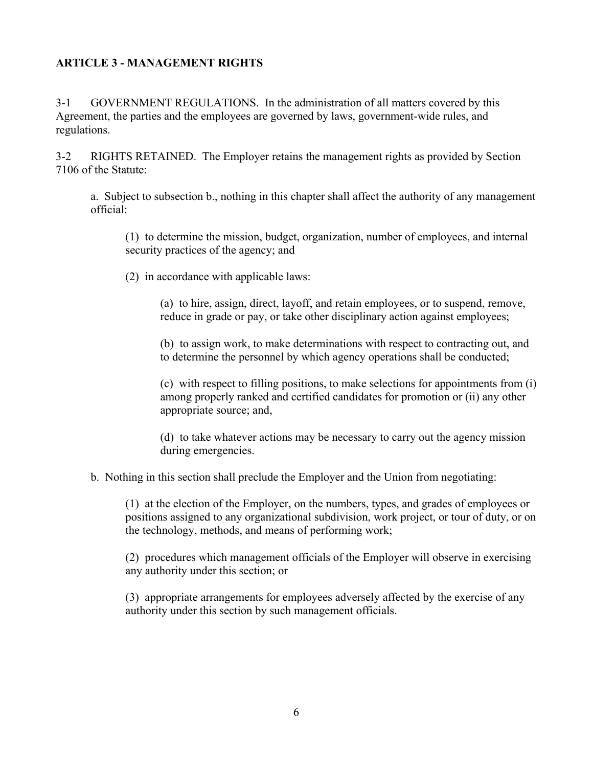# <span id="page-5-0"></span> **ARTICLE 3 - MANAGEMENT RIGHTS**

3-1 GOVERNMENT REGULATIONS. In the administration of all matters covered by this Agreement, the parties and the employees are governed by laws, government-wide rules, and regulations.

3-2 RIGHTS RETAINED. The Employer retains the management rights as provided by Section 7106 of the Statute:

a. Subject to subsection b., nothing in this chapter shall affect the authority of any management official:

- (1) to determine the mission, budget, organization, number of employees, and internal security practices of the agency; and
- (2) in accordance with applicable laws:

 (a) to hire, assign, direct, layoff, and retain employees, or to suspend, remove, reduce in grade or pay, or take other disciplinary action against employees;

 (b) to assign work, to make determinations with respect to contracting out, and to determine the personnel by which agency operations shall be conducted;

 (c) with respect to filling positions, to make selections for appointments from (i) among properly ranked and certified candidates for promotion or (ii) any other appropriate source; and,

 (d) to take whatever actions may be necessary to carry out the agency mission during emergencies.

b. Nothing in this section shall preclude the Employer and the Union from negotiating:

 the technology, methods, and means of performing work; (1) at the election of the Employer, on the numbers, types, and grades of employees or positions assigned to any organizational subdivision, work project, or tour of duty, or on

 any authority under this section; or (2) procedures which management officials of the Employer will observe in exercising

(3) appropriate arrangements for employees adversely affected by the exercise of any authority under this section by such management officials.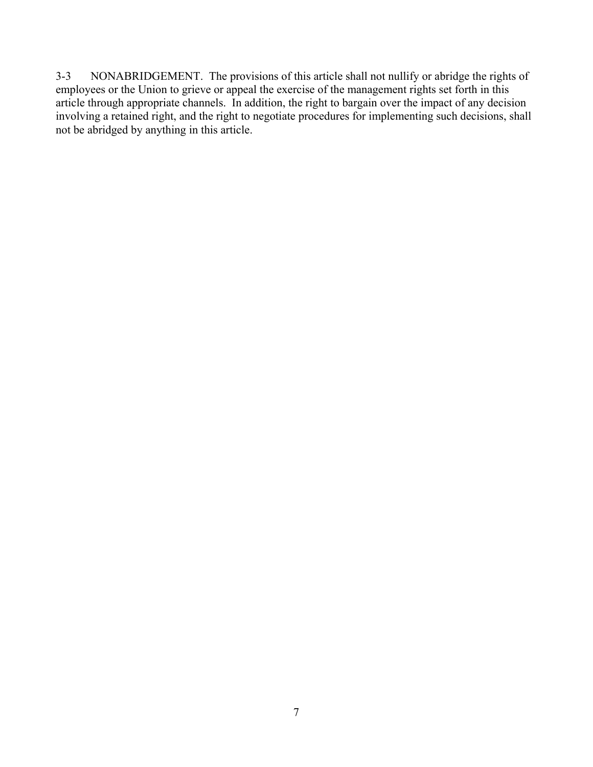3-3 NONABRIDGEMENT. The provisions of this article shall not nullify or abridge the rights of employees or the Union to grieve or appeal the exercise of the management rights set forth in this not be abridged by anything in this article. article through appropriate channels. In addition, the right to bargain over the impact of any decision involving a retained right, and the right to negotiate procedures for implementing such decisions, shall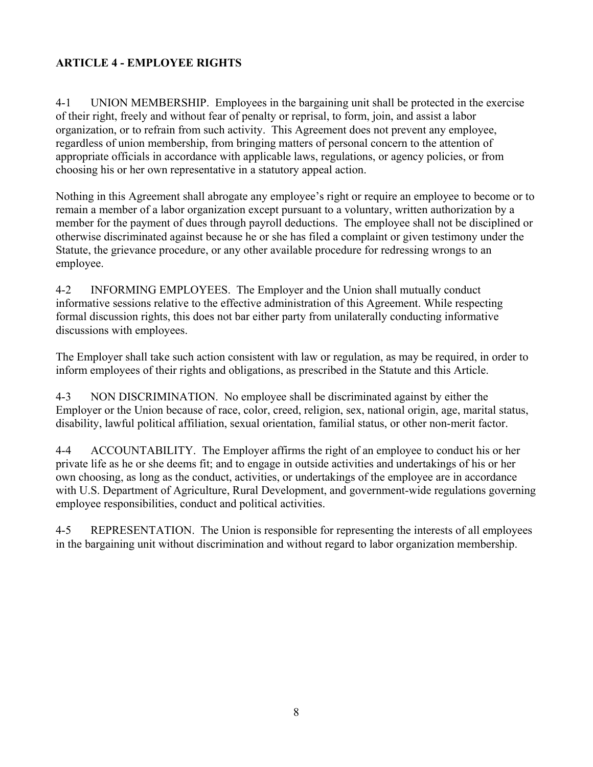# <span id="page-7-0"></span> **ARTICLE 4 - EMPLOYEE RIGHTS**

 4-1 UNION MEMBERSHIP. Employees in the bargaining unit shall be protected in the exercise of their right, freely and without fear of penalty or reprisal, to form, join, and assist a labor organization, or to refrain from such activity. This Agreement does not prevent any employee, regardless of union membership, from bringing matters of personal concern to the attention of appropriate officials in accordance with applicable laws, regulations, or agency policies, or from choosing his or her own representative in a statutory appeal action.

 remain a member of a labor organization except pursuant to a voluntary, written authorization by a member for the payment of dues through payroll deductions. The employee shall not be disciplined or Statute, the grievance procedure, or any other available procedure for redressing wrongs to an Nothing in this Agreement shall abrogate any employee's right or require an employee to become or to otherwise discriminated against because he or she has filed a complaint or given testimony under the employee.

4-2 INFORMING EMPLOYEES. The Employer and the Union shall mutually conduct informative sessions relative to the effective administration of this Agreement. While respecting formal discussion rights, this does not bar either party from unilaterally conducting informative discussions with employees.

 inform employees of their rights and obligations, as prescribed in the Statute and this Article. The Employer shall take such action consistent with law or regulation, as may be required, in order to

 4-3 NON DISCRIMINATION. No employee shall be discriminated against by either the Employer or the Union because of race, color, creed, religion, sex, national origin, age, marital status, disability, lawful political affiliation, sexual orientation, familial status, or other non-merit factor.

 4-4 ACCOUNTABILITY. The Employer affirms the right of an employee to conduct his or her employee responsibilities, conduct and political activities. private life as he or she deems fit; and to engage in outside activities and undertakings of his or her own choosing, as long as the conduct, activities, or undertakings of the employee are in accordance with U.S. Department of Agriculture, Rural Development, and government-wide regulations governing

 in the bargaining unit without discrimination and without regard to labor organization membership. 4-5 REPRESENTATION. The Union is responsible for representing the interests of all employees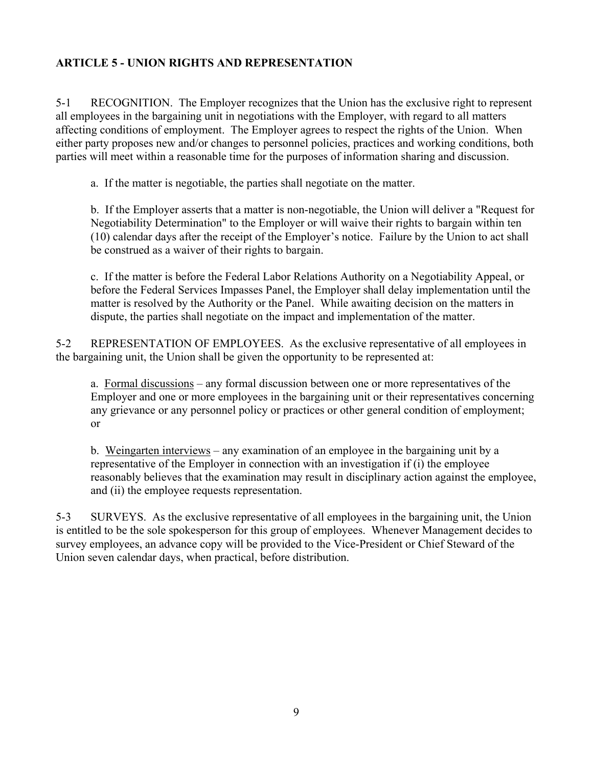# <span id="page-8-0"></span> **ARTICLE 5 - UNION RIGHTS AND REPRESENTATION**

 5-1 RECOGNITION. The Employer recognizes that the Union has the exclusive right to represent all employees in the bargaining unit in negotiations with the Employer, with regard to all matters affecting conditions of employment. The Employer agrees to respect the rights of the Union. When parties will meet within a reasonable time for the purposes of information sharing and discussion. either party proposes new and/or changes to personnel policies, practices and working conditions, both

a. If the matter is negotiable, the parties shall negotiate on the matter.

 b. If the Employer asserts that a matter is non-negotiable, the Union will deliver a "Request for Negotiability Determination" to the Employer or will waive their rights to bargain within ten (10) calendar days after the receipt of the Employer's notice. Failure by the Union to act shall be construed as a waiver of their rights to bargain.

 before the Federal Services Impasses Panel, the Employer shall delay implementation until the dispute, the parties shall negotiate on the impact and implementation of the matter. c. If the matter is before the Federal Labor Relations Authority on a Negotiability Appeal, or matter is resolved by the Authority or the Panel. While awaiting decision on the matters in

 the bargaining unit, the Union shall be given the opportunity to be represented at: 5-2 REPRESENTATION OF EMPLOYEES. As the exclusive representative of all employees in

a. Formal discussions – any formal discussion between one or more representatives of the Employer and one or more employees in the bargaining unit or their representatives concerning any grievance or any personnel policy or practices or other general condition of employment; or

b. Weingarten interviews – any examination of an employee in the bargaining unit by a representative of the Employer in connection with an investigation if (i) the employee reasonably believes that the examination may result in disciplinary action against the employee, and (ii) the employee requests representation.

5-3 SURVEYS. As the exclusive representative of all employees in the bargaining unit, the Union is entitled to be the sole spokesperson for this group of employees. Whenever Management decides to survey employees, an advance copy will be provided to the Vice-President or Chief Steward of the Union seven calendar days, when practical, before distribution.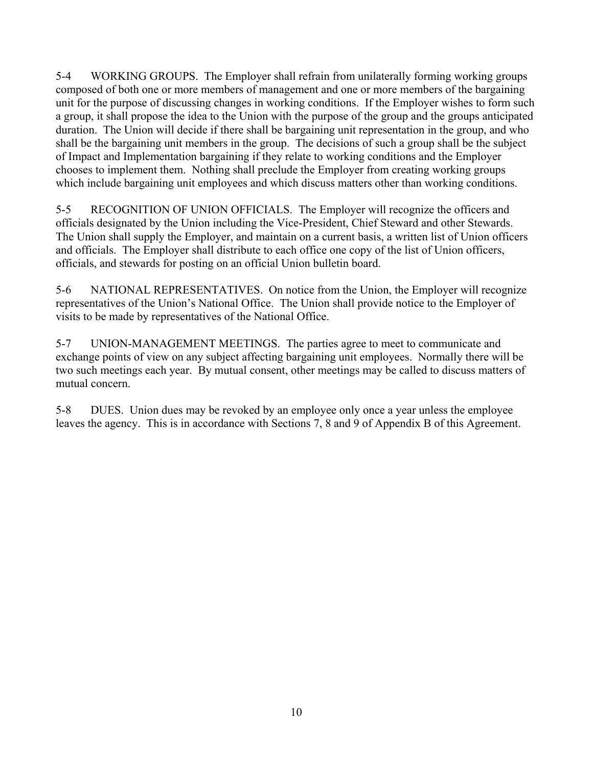shall be the bargaining unit members in the group. The decisions of such a group shall be the subject of Impact and Implementation bargaining if they relate to working conditions and the Employer which include bargaining unit employees and which discuss matters other than working conditions. 5-4 WORKING GROUPS. The Employer shall refrain from unilaterally forming working groups composed of both one or more members of management and one or more members of the bargaining unit for the purpose of discussing changes in working conditions. If the Employer wishes to form such a group, it shall propose the idea to the Union with the purpose of the group and the groups anticipated duration. The Union will decide if there shall be bargaining unit representation in the group, and who chooses to implement them. Nothing shall preclude the Employer from creating working groups

 5-5 RECOGNITION OF UNION OFFICIALS. The Employer will recognize the officers and officials designated by the Union including the Vice-President, Chief Steward and other Stewards. The Union shall supply the Employer, and maintain on a current basis, a written list of Union officers and officials. The Employer shall distribute to each office one copy of the list of Union officers, officials, and stewards for posting on an official Union bulletin board.

 representatives of the Union's National Office. The Union shall provide notice to the Employer of 5-6 NATIONAL REPRESENTATIVES. On notice from the Union, the Employer will recognize visits to be made by representatives of the National Office.

 exchange points of view on any subject affecting bargaining unit employees. Normally there will be 5-7 UNION-MANAGEMENT MEETINGS. The parties agree to meet to communicate and two such meetings each year. By mutual consent, other meetings may be called to discuss matters of mutual concern.

5-8 DUES. Union dues may be revoked by an employee only once a year unless the employee leaves the agency. This is in accordance with Sections 7, 8 and 9 of Appendix B of this Agreement.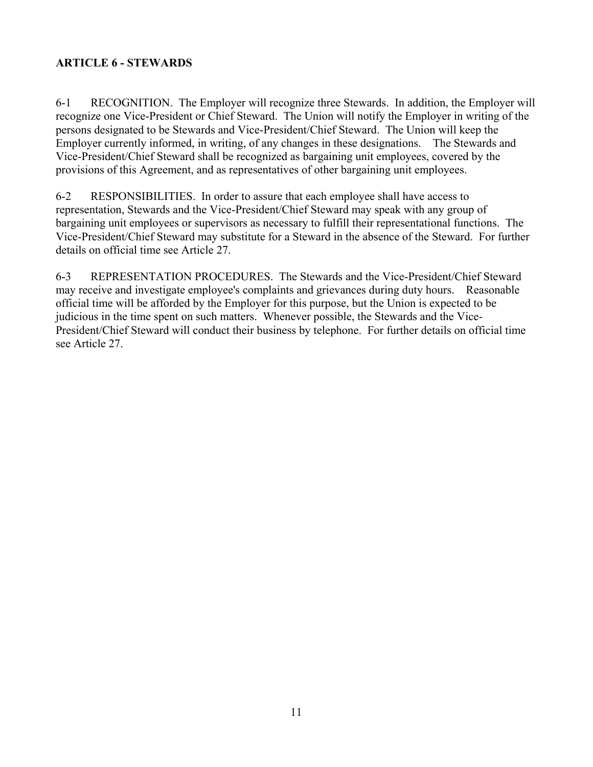# <span id="page-10-0"></span>**ARTICLE 6 - STEWARDS**

 persons designated to be Stewards and Vice-President/Chief Steward. The Union will keep the 6-1 RECOGNITION. The Employer will recognize three Stewards. In addition, the Employer will recognize one Vice-President or Chief Steward. The Union will notify the Employer in writing of the Employer currently informed, in writing, of any changes in these designations. The Stewards and Vice-President/Chief Steward shall be recognized as bargaining unit employees, covered by the provisions of this Agreement, and as representatives of other bargaining unit employees.

6-2 RESPONSIBILITIES. In order to assure that each employee shall have access to representation, Stewards and the Vice-President/Chief Steward may speak with any group of bargaining unit employees or supervisors as necessary to fulfill their representational functions. The Vice-President/Chief Steward may substitute for a Steward in the absence of the Steward. For further details on official time see Article 27.

 may receive and investigate employee's complaints and grievances during duty hours. Reasonable 6-3 REPRESENTATION PROCEDURES. The Stewards and the Vice-President/Chief Steward official time will be afforded by the Employer for this purpose, but the Union is expected to be judicious in the time spent on such matters. Whenever possible, the Stewards and the Vice-President/Chief Steward will conduct their business by telephone. For further details on official time see Article 27.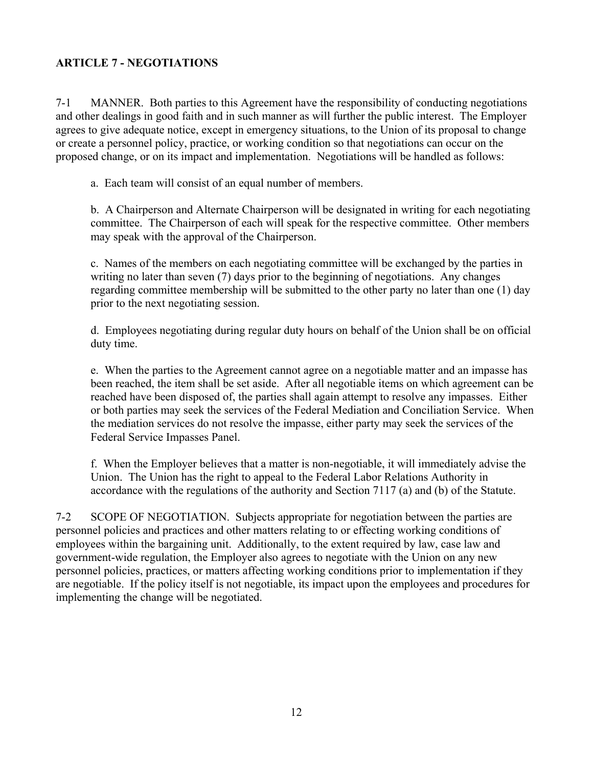# <span id="page-11-0"></span>**ARTICLE 7 - NEGOTIATIONS**

 and other dealings in good faith and in such manner as will further the public interest. The Employer 7-1 MANNER. Both parties to this Agreement have the responsibility of conducting negotiations agrees to give adequate notice, except in emergency situations, to the Union of its proposal to change or create a personnel policy, practice, or working condition so that negotiations can occur on the proposed change, or on its impact and implementation. Negotiations will be handled as follows:

a. Each team will consist of an equal number of members.

b. A Chairperson and Alternate Chairperson will be designated in writing for each negotiating committee. The Chairperson of each will speak for the respective committee. Other members may speak with the approval of the Chairperson.

 prior to the next negotiating session. c. Names of the members on each negotiating committee will be exchanged by the parties in writing no later than seven (7) days prior to the beginning of negotiations. Any changes regarding committee membership will be submitted to the other party no later than one (1) day

d. Employees negotiating during regular duty hours on behalf of the Union shall be on official duty time.

 or both parties may seek the services of the Federal Mediation and Conciliation Service. When e. When the parties to the Agreement cannot agree on a negotiable matter and an impasse has been reached, the item shall be set aside. After all negotiable items on which agreement can be reached have been disposed of, the parties shall again attempt to resolve any impasses. Either the mediation services do not resolve the impasse, either party may seek the services of the Federal Service Impasses Panel.

 accordance with the regulations of the authority and Section 7117 (a) and (b) of the Statute. f. When the Employer believes that a matter is non-negotiable, it will immediately advise the Union. The Union has the right to appeal to the Federal Labor Relations Authority in

 $7 - 2$ SCOPE OF NEGOTIATION. Subjects appropriate for negotiation between the parties are personnel policies and practices and other matters relating to or effecting working conditions of employees within the bargaining unit. Additionally, to the extent required by law, case law and government-wide regulation, the Employer also agrees to negotiate with the Union on any new personnel policies, practices, or matters affecting working conditions prior to implementation if they are negotiable. If the policy itself is not negotiable, its impact upon the employees and procedures for implementing the change will be negotiated.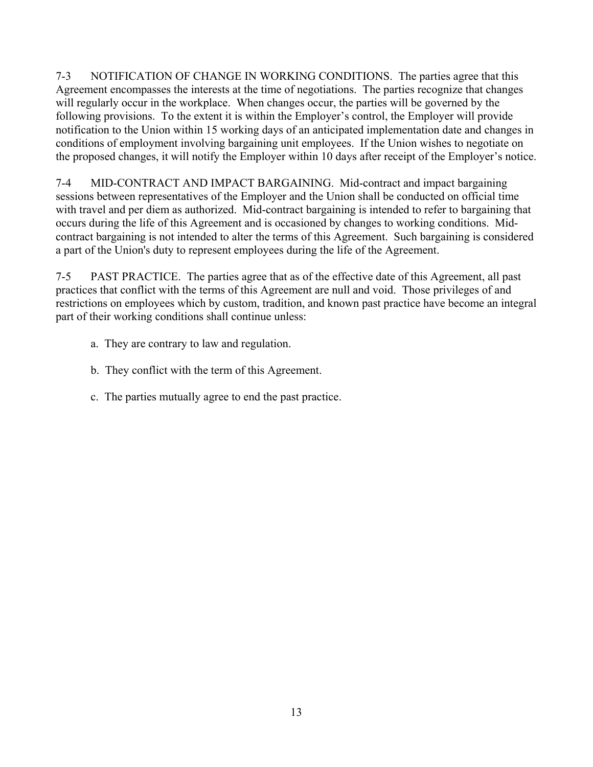7-3 NOTIFICATION OF CHANGE IN WORKING CONDITIONS. The parties agree that this will regularly occur in the workplace. When changes occur, the parties will be governed by the conditions of employment involving bargaining unit employees. If the Union wishes to negotiate on Agreement encompasses the interests at the time of negotiations. The parties recognize that changes following provisions. To the extent it is within the Employer's control, the Employer will provide notification to the Union within 15 working days of an anticipated implementation date and changes in the proposed changes, it will notify the Employer within 10 days after receipt of the Employer's notice.

7-4 MID-CONTRACT AND IMPACT BARGAINING. Mid-contract and impact bargaining sessions between representatives of the Employer and the Union shall be conducted on official time with travel and per diem as authorized. Mid-contract bargaining is intended to refer to bargaining that occurs during the life of this Agreement and is occasioned by changes to working conditions. Midcontract bargaining is not intended to alter the terms of this Agreement. Such bargaining is considered a part of the Union's duty to represent employees during the life of the Agreement.

 part of their working conditions shall continue unless: 7-5 PAST PRACTICE. The parties agree that as of the effective date of this Agreement, all past practices that conflict with the terms of this Agreement are null and void. Those privileges of and restrictions on employees which by custom, tradition, and known past practice have become an integral

- a. They are contrary to law and regulation.
- b. They conflict with the term of this Agreement.
- c. The parties mutually agree to end the past practice.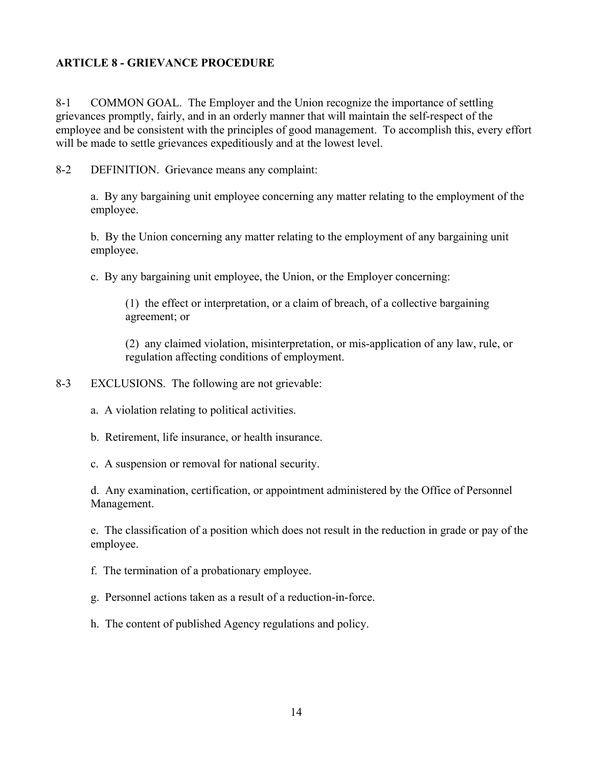#### <span id="page-13-0"></span>**ARTICLE 8 - GRIEVANCE PROCEDURE**

8-1 COMMON GOAL. The Employer and the Union recognize the importance of settling grievances promptly, fairly, and in an orderly manner that will maintain the self-respect of the employee and be consistent with the principles of good management. To accomplish this, every effort will be made to settle grievances expeditiously and at the lowest level.

8-2 DEFINITION. Grievance means any complaint:

a. By any bargaining unit employee concerning any matter relating to the employment of the employee.

b. By the Union concerning any matter relating to the employment of any bargaining unit employee.

c. By any bargaining unit employee, the Union, or the Employer concerning:

 (1) the effect or interpretation, or a claim of breach, of a collective bargaining agreement; or

(2) any claimed violation, misinterpretation, or mis-application of any law, rule, or regulation affecting conditions of employment.

- 8-3 EXCLUSIONS. The following are not grievable:
	- a. A violation relating to political activities.
	- b. Retirement, life insurance, or health insurance.
	- c. A suspension or removal for national security.

d. Any examination, certification, or appointment administered by the Office of Personnel Management.

 e. The classification of a position which does not result in the reduction in grade or pay of the employee.

- f. The termination of a probationary employee.
- g. Personnel actions taken as a result of a reduction-in-force.
- h. The content of published Agency regulations and policy.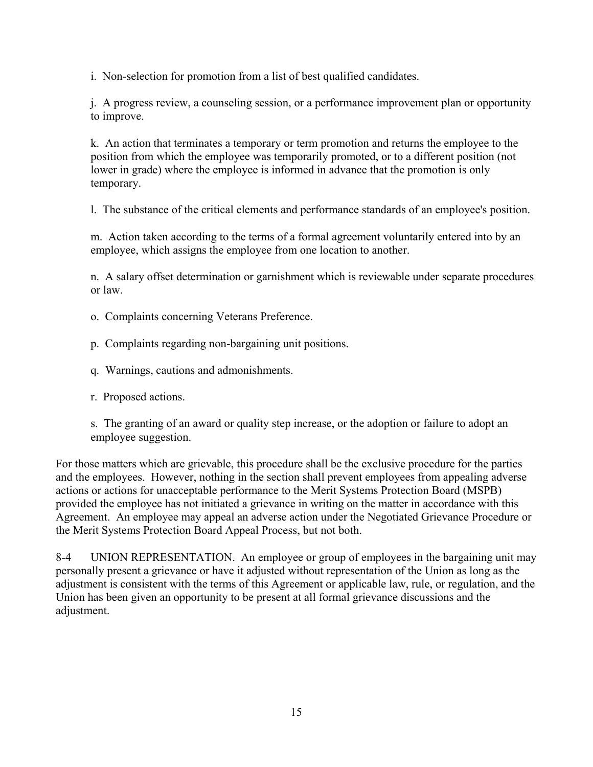i. Non-selection for promotion from a list of best qualified candidates.

j. A progress review, a counseling session, or a performance improvement plan or opportunity to improve.

k. An action that terminates a temporary or term promotion and returns the employee to the position from which the employee was temporarily promoted, or to a different position (not lower in grade) where the employee is informed in advance that the promotion is only temporary.

l. The substance of the critical elements and performance standards of an employee's position.

m. Action taken according to the terms of a formal agreement voluntarily entered into by an employee, which assigns the employee from one location to another.

n. A salary offset determination or garnishment which is reviewable under separate procedures or law.

- o. Complaints concerning Veterans Preference.
- p. Complaints regarding non-bargaining unit positions.
- q. Warnings, cautions and admonishments.
- r. Proposed actions.

s. The granting of an award or quality step increase, or the adoption or failure to adopt an employee suggestion.

For those matters which are grievable, this procedure shall be the exclusive procedure for the parties and the employees. However, nothing in the section shall prevent employees from appealing adverse actions or actions for unacceptable performance to the Merit Systems Protection Board (MSPB) provided the employee has not initiated a grievance in writing on the matter in accordance with this Agreement. An employee may appeal an adverse action under the Negotiated Grievance Procedure or the Merit Systems Protection Board Appeal Process, but not both.

 $8-4$  personally present a grievance or have it adjusted without representation of the Union as long as the Union has been given an opportunity to be present at all formal grievance discussions and the UNION REPRESENTATION. An employee or group of employees in the bargaining unit may adjustment is consistent with the terms of this Agreement or applicable law, rule, or regulation, and the adjustment.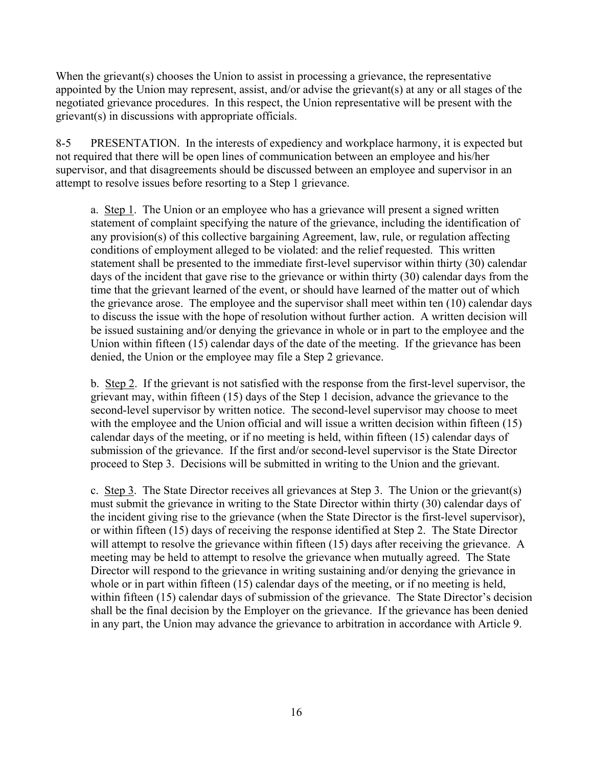appointed by the Union may represent, assist, and/or advise the grievant(s) at any or all stages of the negotiated grievance procedures. In this respect, the Union representative will be present with the When the grievant(s) chooses the Union to assist in processing a grievance, the representative grievant(s) in discussions with appropriate officials.

8-5 PRESENTATION. In the interests of expediency and workplace harmony, it is expected but not required that there will be open lines of communication between an employee and his/her supervisor, and that disagreements should be discussed between an employee and supervisor in an attempt to resolve issues before resorting to a Step 1 grievance.

 days of the incident that gave rise to the grievance or within thirty (30) calendar days from the a. Step 1. The Union or an employee who has a grievance will present a signed written statement of complaint specifying the nature of the grievance, including the identification of any provision(s) of this collective bargaining Agreement, law, rule, or regulation affecting conditions of employment alleged to be violated: and the relief requested. This written statement shall be presented to the immediate first-level supervisor within thirty (30) calendar time that the grievant learned of the event, or should have learned of the matter out of which the grievance arose. The employee and the supervisor shall meet within ten (10) calendar days to discuss the issue with the hope of resolution without further action. A written decision will be issued sustaining and/or denying the grievance in whole or in part to the employee and the Union within fifteen (15) calendar days of the date of the meeting. If the grievance has been denied, the Union or the employee may file a Step 2 grievance.

 second-level supervisor by written notice. The second-level supervisor may choose to meet submission of the grievance. If the first and/or second-level supervisor is the State Director proceed to Step 3. Decisions will be submitted in writing to the Union and the grievant. b. Step 2. If the grievant is not satisfied with the response from the first-level supervisor, the grievant may, within fifteen (15) days of the Step 1 decision, advance the grievance to the with the employee and the Union official and will issue a written decision within fifteen (15) calendar days of the meeting, or if no meeting is held, within fifteen (15) calendar days of

 the incident giving rise to the grievance (when the State Director is the first-level supervisor), meeting may be held to attempt to resolve the grievance when mutually agreed. The State c. Step 3. The State Director receives all grievances at Step 3. The Union or the grievant(s) must submit the grievance in writing to the State Director within thirty (30) calendar days of or within fifteen (15) days of receiving the response identified at Step 2. The State Director will attempt to resolve the grievance within fifteen (15) days after receiving the grievance. A Director will respond to the grievance in writing sustaining and/or denying the grievance in whole or in part within fifteen (15) calendar days of the meeting, or if no meeting is held, within fifteen (15) calendar days of submission of the grievance. The State Director's decision shall be the final decision by the Employer on the grievance. If the grievance has been denied in any part, the Union may advance the grievance to arbitration in accordance with Article 9.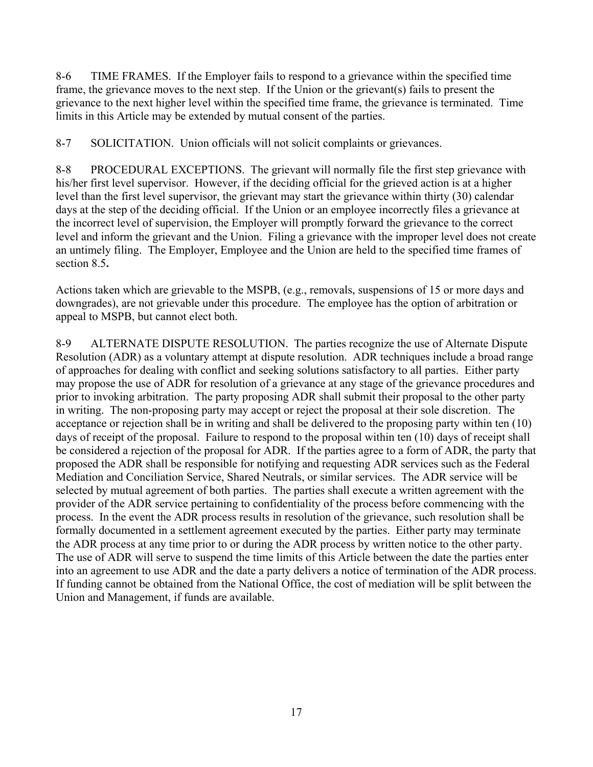frame, the grievance moves to the next step. If the Union or the grievant(s) fails to present the grievance to the next higher level within the specified time frame, the grievance is terminated. Time 8-6 TIME FRAMES. If the Employer fails to respond to a grievance within the specified time limits in this Article may be extended by mutual consent of the parties.

8-7 SOLICITATION. Union officials will not solicit complaints or grievances.

 an untimely filing. The Employer, Employee and the Union are held to the specified time frames of 8-8 PROCEDURAL EXCEPTIONS. The grievant will normally file the first step grievance with his/her first level supervisor. However, if the deciding official for the grieved action is at a higher level than the first level supervisor, the grievant may start the grievance within thirty (30) calendar days at the step of the deciding official. If the Union or an employee incorrectly files a grievance at the incorrect level of supervision, the Employer will promptly forward the grievance to the correct level and inform the grievant and the Union. Filing a grievance with the improper level does not create section 8.5**.** 

Actions taken which are grievable to the MSPB, (e.g., removals, suspensions of 15 or more days and downgrades), are not grievable under this procedure. The employee has the option of arbitration or appeal to MSPB, but cannot elect both.

 8-9 ALTERNATE DISPUTE RESOLUTION. The parties recognize the use of Alternate Dispute may propose the use of ADR for resolution of a grievance at any stage of the grievance procedures and prior to invoking arbitration. The party proposing ADR shall submit their proposal to the other party in writing. The non-proposing party may accept or reject the proposal at their sole discretion. The days of receipt of the proposal. Failure to respond to the proposal within ten (10) days of receipt shall be considered a rejection of the proposal for ADR. If the parties agree to a form of ADR, the party that Mediation and Conciliation Service, Shared Neutrals, or similar services. The ADR service will be process. In the event the ADR process results in resolution of the grievance, such resolution shall be formally documented in a settlement agreement executed by the parties. Either party may terminate Resolution (ADR) as a voluntary attempt at dispute resolution. ADR techniques include a broad range of approaches for dealing with conflict and seeking solutions satisfactory to all parties. Either party acceptance or rejection shall be in writing and shall be delivered to the proposing party within ten (10) proposed the ADR shall be responsible for notifying and requesting ADR services such as the Federal selected by mutual agreement of both parties. The parties shall execute a written agreement with the provider of the ADR service pertaining to confidentiality of the process before commencing with the the ADR process at any time prior to or during the ADR process by written notice to the other party. The use of ADR will serve to suspend the time limits of this Article between the date the parties enter into an agreement to use ADR and the date a party delivers a notice of termination of the ADR process. If funding cannot be obtained from the National Office, the cost of mediation will be split between the Union and Management, if funds are available.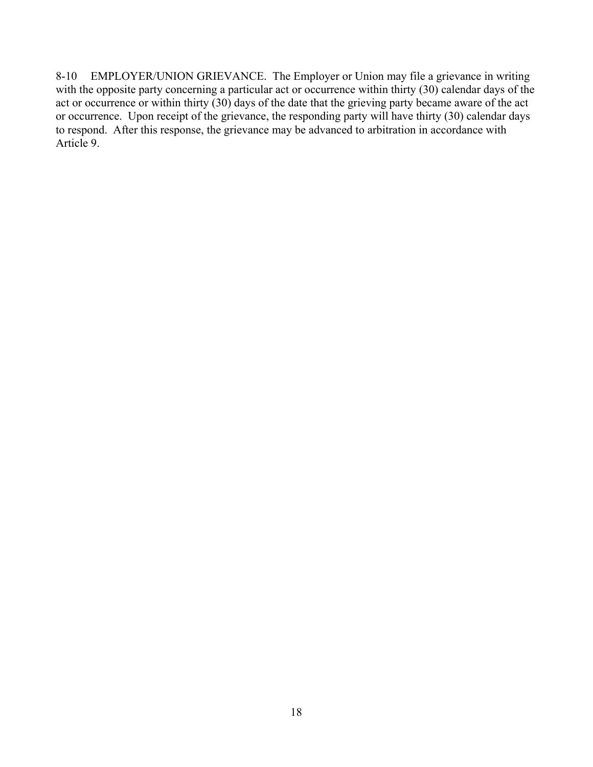with the opposite party concerning a particular act or occurrence within thirty (30) calendar days of the 8-10 EMPLOYER/UNION GRIEVANCE. The Employer or Union may file a grievance in writing act or occurrence or within thirty (30) days of the date that the grieving party became aware of the act or occurrence. Upon receipt of the grievance, the responding party will have thirty (30) calendar days to respond. After this response, the grievance may be advanced to arbitration in accordance with Article 9.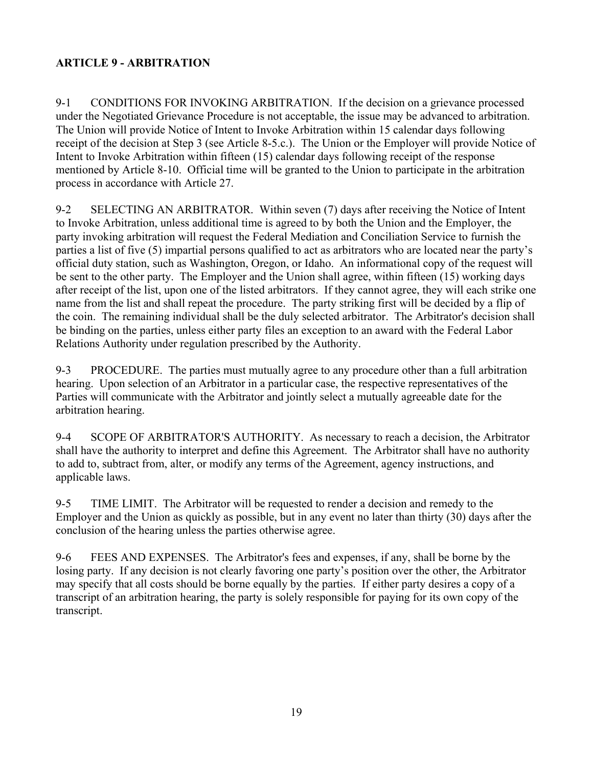# <span id="page-18-0"></span>**ARTICLE 9 - ARBITRATION**

 Intent to Invoke Arbitration within fifteen (15) calendar days following receipt of the response mentioned by Article 8-10. Official time will be granted to the Union to participate in the arbitration 9-1 CONDITIONS FOR INVOKING ARBITRATION. If the decision on a grievance processed under the Negotiated Grievance Procedure is not acceptable, the issue may be advanced to arbitration. The Union will provide Notice of Intent to Invoke Arbitration within 15 calendar days following receipt of the decision at Step 3 (see Article 8-5.c.). The Union or the Employer will provide Notice of process in accordance with Article 27.

 9-2 SELECTING AN ARBITRATOR. Within seven (7) days after receiving the Notice of Intent to Invoke Arbitration, unless additional time is agreed to by both the Union and the Employer, the party invoking arbitration will request the Federal Mediation and Conciliation Service to furnish the parties a list of five (5) impartial persons qualified to act as arbitrators who are located near the party's official duty station, such as Washington, Oregon, or Idaho. An informational copy of the request will be sent to the other party. The Employer and the Union shall agree, within fifteen (15) working days after receipt of the list, upon one of the listed arbitrators. If they cannot agree, they will each strike one name from the list and shall repeat the procedure. The party striking first will be decided by a flip of the coin. The remaining individual shall be the duly selected arbitrator. The Arbitrator's decision shall be binding on the parties, unless either party files an exception to an award with the Federal Labor Relations Authority under regulation prescribed by the Authority.

9-3 PROCEDURE. The parties must mutually agree to any procedure other than a full arbitration hearing. Upon selection of an Arbitrator in a particular case, the respective representatives of the Parties will communicate with the Arbitrator and jointly select a mutually agreeable date for the arbitration hearing.

 9-4 SCOPE OF ARBITRATOR'S AUTHORITY. As necessary to reach a decision, the Arbitrator shall have the authority to interpret and define this Agreement. The Arbitrator shall have no authority to add to, subtract from, alter, or modify any terms of the Agreement, agency instructions, and applicable laws.

9-5 TIME LIMIT. The Arbitrator will be requested to render a decision and remedy to the Employer and the Union as quickly as possible, but in any event no later than thirty (30) days after the conclusion of the hearing unless the parties otherwise agree.

 9-6 FEES AND EXPENSES. The Arbitrator's fees and expenses, if any, shall be borne by the losing party. If any decision is not clearly favoring one party's position over the other, the Arbitrator may specify that all costs should be borne equally by the parties. If either party desires a copy of a transcript of an arbitration hearing, the party is solely responsible for paying for its own copy of the transcript.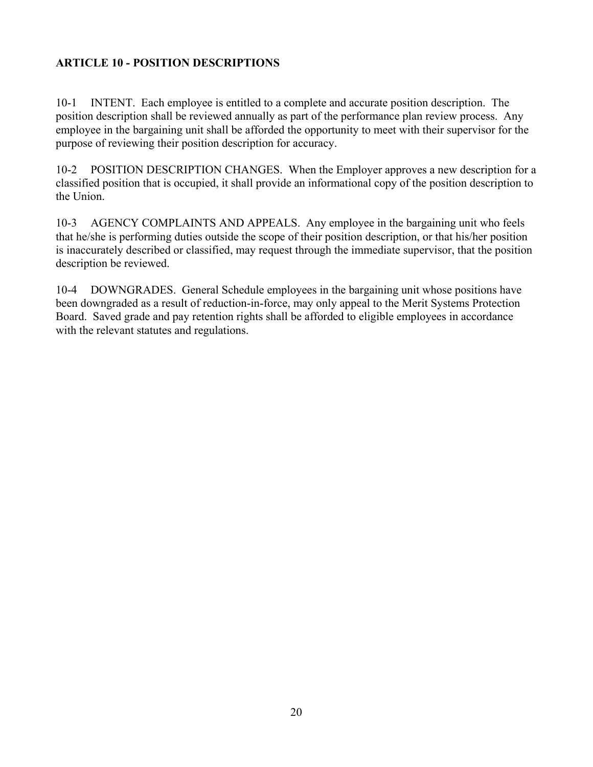# <span id="page-19-0"></span>**ARTICLE 10 - POSITION DESCRIPTIONS**

 10-1 INTENT. Each employee is entitled to a complete and accurate position description. The position description shall be reviewed annually as part of the performance plan review process. Any employee in the bargaining unit shall be afforded the opportunity to meet with their supervisor for the purpose of reviewing their position description for accuracy.

10-2 POSITION DESCRIPTION CHANGES. When the Employer approves a new description for a classified position that is occupied, it shall provide an informational copy of the position description to the Union.

10-3 AGENCY COMPLAINTS AND APPEALS. Any employee in the bargaining unit who feels that he/she is performing duties outside the scope of their position description, or that his/her position is inaccurately described or classified, may request through the immediate supervisor, that the position description be reviewed.

 been downgraded as a result of reduction-in-force, may only appeal to the Merit Systems Protection 10-4 DOWNGRADES. General Schedule employees in the bargaining unit whose positions have Board. Saved grade and pay retention rights shall be afforded to eligible employees in accordance with the relevant statutes and regulations.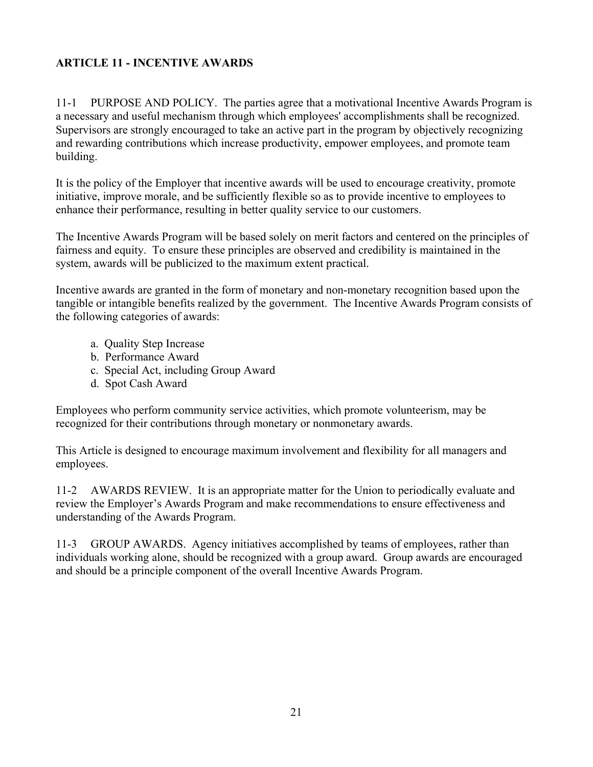# <span id="page-20-0"></span>**ARTICLE 11 - INCENTIVE AWARDS**

 11-1 PURPOSE AND POLICY. The parties agree that a motivational Incentive Awards Program is a necessary and useful mechanism through which employees' accomplishments shall be recognized. Supervisors are strongly encouraged to take an active part in the program by objectively recognizing. and rewarding contributions which increase productivity, empower employees, and promote team building.

It is the policy of the Employer that incentive awards will be used to encourage creativity, promote initiative, improve morale, and be sufficiently flexible so as to provide incentive to employees to enhance their performance, resulting in better quality service to our customers.

 fairness and equity. To ensure these principles are observed and credibility is maintained in the The Incentive Awards Program will be based solely on merit factors and centered on the principles of system, awards will be publicized to the maximum extent practical.

 Incentive awards are granted in the form of monetary and non-monetary recognition based upon the the following categories of awards: tangible or intangible benefits realized by the government. The Incentive Awards Program consists of

- a. Quality Step Increase
- b. Performance Award
- c. Special Act, including Group Award
- d. Spot Cash Award

Employees who perform community service activities, which promote volunteerism, may be recognized for their contributions through monetary or nonmonetary awards.

This Article is designed to encourage maximum involvement and flexibility for all managers and employees.

11-2 AWARDS REVIEW. It is an appropriate matter for the Union to periodically evaluate and review the Employer's Awards Program and make recommendations to ensure effectiveness and understanding of the Awards Program.

11-3 GROUP AWARDS. Agency initiatives accomplished by teams of employees, rather than individuals working alone, should be recognized with a group award. Group awards are encouraged and should be a principle component of the overall Incentive Awards Program.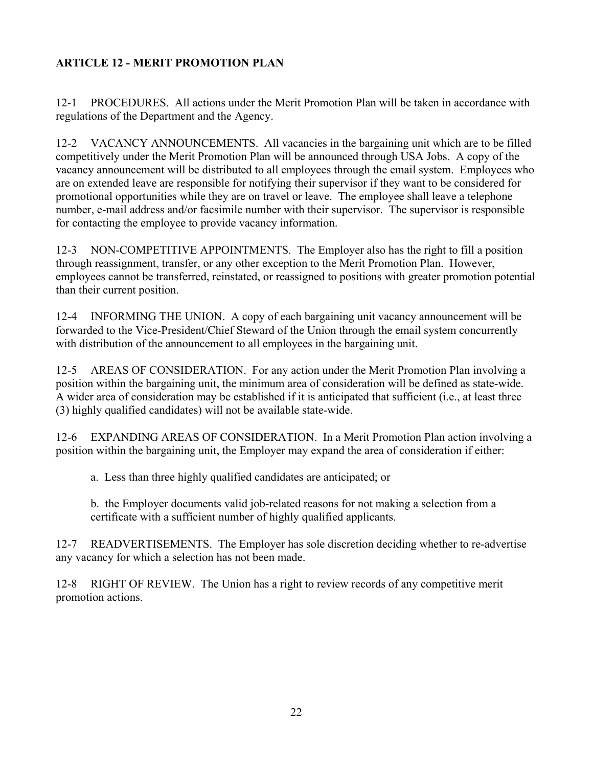# <span id="page-21-0"></span>**ARTICLE 12 - MERIT PROMOTION PLAN**

 12-1 PROCEDURES. All actions under the Merit Promotion Plan will be taken in accordance with regulations of the Department and the Agency.

12-2 VACANCY ANNOUNCEMENTS. All vacancies in the bargaining unit which are to be filled competitively under the Merit Promotion Plan will be announced through USA Jobs. A copy of the vacancy announcement will be distributed to all employees through the email system. Employees who are on extended leave are responsible for notifying their supervisor if they want to be considered for promotional opportunities while they are on travel or leave. The employee shall leave a telephone number, e-mail address and/or facsimile number with their supervisor. The supervisor is responsible for contacting the employee to provide vacancy information.

 through reassignment, transfer, or any other exception to the Merit Promotion Plan. However, 12-3 NON-COMPETITIVE APPOINTMENTS. The Employer also has the right to fill a position employees cannot be transferred, reinstated, or reassigned to positions with greater promotion potential than their current position.

12-4 INFORMING THE UNION. A copy of each bargaining unit vacancy announcement will be forwarded to the Vice-President/Chief Steward of the Union through the email system concurrently with distribution of the announcement to all employees in the bargaining unit.

position within the bargaining unit, the minimum area of consideration will be defined as state-wide.<br>A wider area of consideration may be established if it is anticipated that sufficient (i.e., at least three 12-5 AREAS OF CONSIDERATION. For any action under the Merit Promotion Plan involving a (3) highly qualified candidates) will not be available state-wide.

12-6 EXPANDING AREAS OF CONSIDERATION. In a Merit Promotion Plan action involving a position within the bargaining unit, the Employer may expand the area of consideration if either:

a. Less than three highly qualified candidates are anticipated; or

b. the Employer documents valid job-related reasons for not making a selection from a certificate with a sufficient number of highly qualified applicants.

12-7 READVERTISEMENTS. The Employer has sole discretion deciding whether to re-advertise any vacancy for which a selection has not been made.

 12-8 RIGHT OF REVIEW. The Union has a right to review records of any competitive merit promotion actions.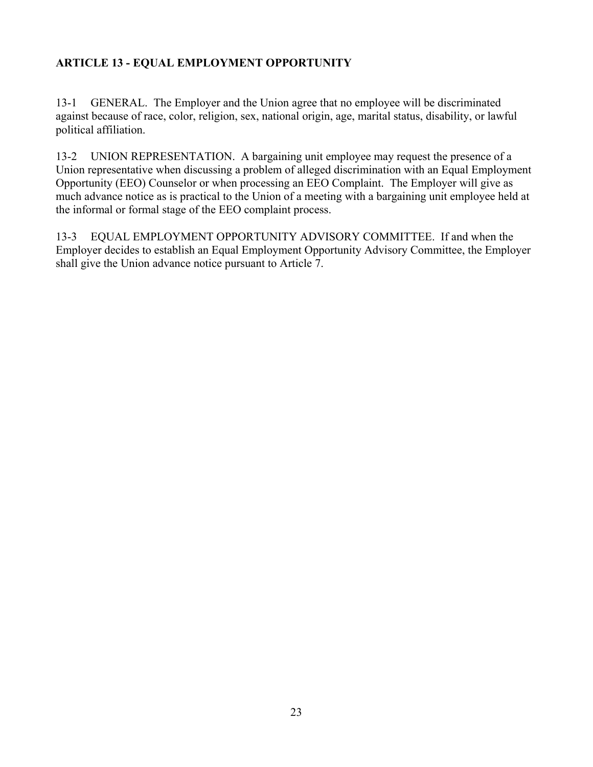# <span id="page-22-0"></span>**ARTICLE 13 - EQUAL EMPLOYMENT OPPORTUNITY**

 against because of race, color, religion, sex, national origin, age, marital status, disability, or lawful 13-1 GENERAL. The Employer and the Union agree that no employee will be discriminated political affiliation.

 $13 - 2$  much advance notice as is practical to the Union of a meeting with a bargaining unit employee held at UNION REPRESENTATION. A bargaining unit employee may request the presence of a Union representative when discussing a problem of alleged discrimination with an Equal Employment Opportunity (EEO) Counselor or when processing an EEO Complaint. The Employer will give as the informal or formal stage of the EEO complaint process.

 13-3 EQUAL EMPLOYMENT OPPORTUNITY ADVISORY COMMITTEE. If and when the Employer decides to establish an Equal Employment Opportunity Advisory Committee, the Employer shall give the Union advance notice pursuant to Article 7.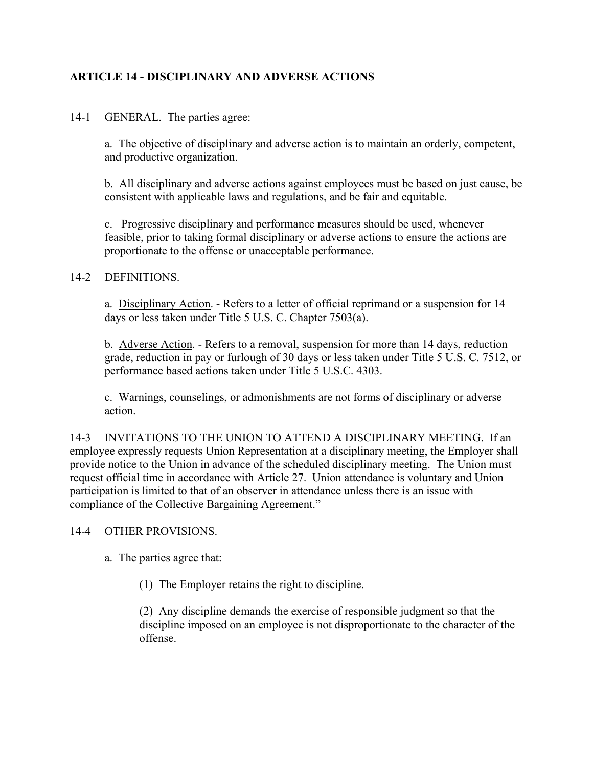# **ARTICLE 14 - DISCIPLINARY AND ADVERSE ACTIONS**

14-1 GENERAL. The parties agree:

a. The objective of disciplinary and adverse action is to maintain an orderly, competent, and productive organization.

b. All disciplinary and adverse actions against employees must be based on just cause, be consistent with applicable laws and regulations, and be fair and equitable.

c. Progressive disciplinary and performance measures should be used, whenever feasible, prior to taking formal disciplinary or adverse actions to ensure the actions are proportionate to the offense or unacceptable performance.

#### 14-2 DEFINITIONS.

 days or less taken under Title 5 U.S. C. Chapter 7503(a). a. Disciplinary Action. - Refers to a letter of official reprimand or a suspension for 14

b. Adverse Action. - Refers to a removal, suspension for more than 14 days, reduction grade, reduction in pay or furlough of 30 days or less taken under Title 5 U.S. C. 7512, or performance based actions taken under Title 5 U.S.C. 4303.

c. Warnings, counselings, or admonishments are not forms of disciplinary or adverse action.

14-3 INVITATIONS TO THE UNION TO ATTEND A DISCIPLINARY MEETING. If an employee expressly requests Union Representation at a disciplinary meeting, the Employer shall provide notice to the Union in advance of the scheduled disciplinary meeting. The Union must request official time in accordance with Article 27. Union attendance is voluntary and Union participation is limited to that of an observer in attendance unless there is an issue with compliance of the Collective Bargaining Agreement."

#### 14-4 OTHER PROVISIONS.

a. The parties agree that:

(1) The Employer retains the right to discipline.

 (2) Any discipline demands the exercise of responsible judgment so that the discipline imposed on an employee is not disproportionate to the character of the offense.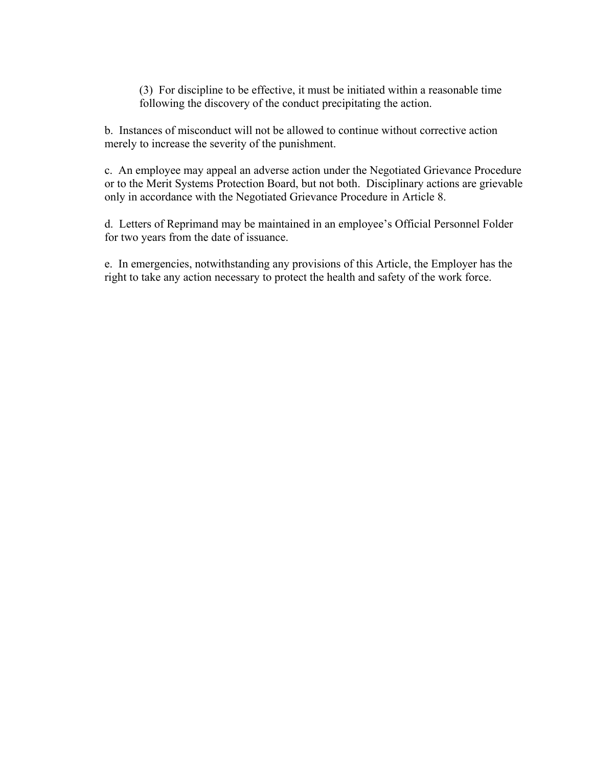(3) For discipline to be effective, it must be initiated within a reasonable time following the discovery of the conduct precipitating the action.

b. Instances of misconduct will not be allowed to continue without corrective action merely to increase the severity of the punishment.

 only in accordance with the Negotiated Grievance Procedure in Article 8. c. An employee may appeal an adverse action under the Negotiated Grievance Procedure or to the Merit Systems Protection Board, but not both. Disciplinary actions are grievable

d. Letters of Reprimand may be maintained in an employee's Official Personnel Folder for two years from the date of issuance.

 e. In emergencies, notwithstanding any provisions of this Article, the Employer has the right to take any action necessary to protect the health and safety of the work force.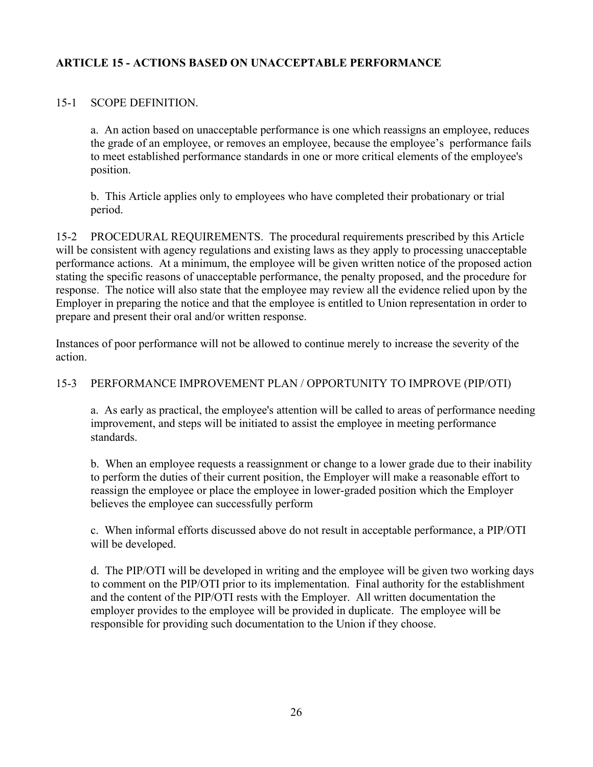# <span id="page-25-0"></span>**ARTICLE 15 - ACTIONS BASED ON UNACCEPTABLE PERFORMANCE**

#### 15-1 SCOPE DEFINITION.

 a. An action based on unacceptable performance is one which reassigns an employee, reduces the grade of an employee, or removes an employee, because the employee's performance fails to meet established performance standards in one or more critical elements of the employee's position.

b. This Article applies only to employees who have completed their probationary or trial period.

 performance actions. At a minimum, the employee will be given written notice of the proposed action prepare and present their oral and/or written response. 15-2 PROCEDURAL REQUIREMENTS. The procedural requirements prescribed by this Article will be consistent with agency regulations and existing laws as they apply to processing unacceptable stating the specific reasons of unacceptable performance, the penalty proposed, and the procedure for response. The notice will also state that the employee may review all the evidence relied upon by the Employer in preparing the notice and that the employee is entitled to Union representation in order to

Instances of poor performance will not be allowed to continue merely to increase the severity of the action.

### 15-3 PERFORMANCE IMPROVEMENT PLAN / OPPORTUNITY TO IMPROVE (PIP/OTI)

 a. As early as practical, the employee's attention will be called to areas of performance needing improvement, and steps will be initiated to assist the employee in meeting performance standards.

 b. When an employee requests a reassignment or change to a lower grade due to their inability to perform the duties of their current position, the Employer will make a reasonable effort to reassign the employee or place the employee in lower-graded position which the Employer believes the employee can successfully perform

 c. When informal efforts discussed above do not result in acceptable performance, a PIP/OTI will be developed.

 and the content of the PIP/OTI rests with the Employer. All written documentation the employer provides to the employee will be provided in duplicate. The employee will be d. The PIP/OTI will be developed in writing and the employee will be given two working days to comment on the PIP/OTI prior to its implementation. Final authority for the establishment responsible for providing such documentation to the Union if they choose.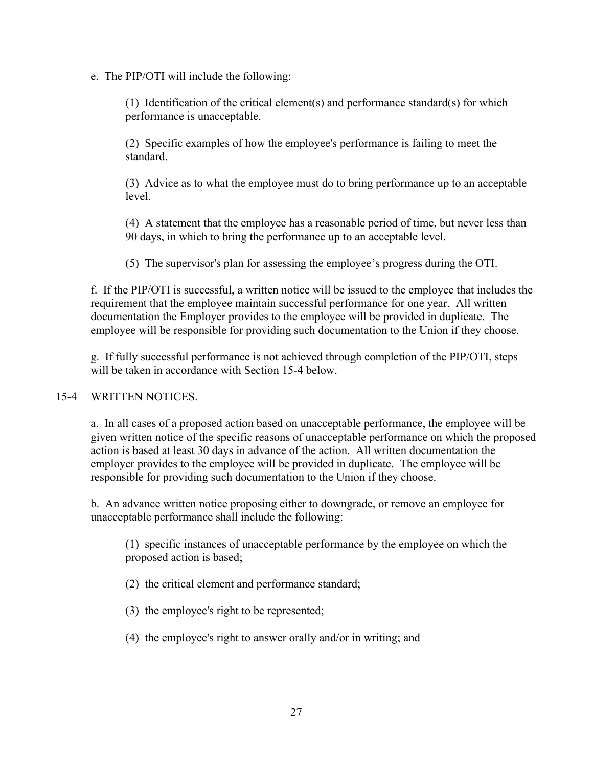e. The PIP/OTI will include the following:

(1) Identification of the critical element(s) and performance standard(s) for which performance is unacceptable.

(2) Specific examples of how the employee's performance is failing to meet the standard.

 (3) Advice as to what the employee must do to bring performance up to an acceptable level.

 (4) A statement that the employee has a reasonable period of time, but never less than 90 days, in which to bring the performance up to an acceptable level.

(5) The supervisor's plan for assessing the employee's progress during the OTI.

 f. If the PIP/OTI is successful, a written notice will be issued to the employee that includes the requirement that the employee maintain successful performance for one year. All written documentation the Employer provides to the employee will be provided in duplicate. The employee will be responsible for providing such documentation to the Union if they choose.

g. If fully successful performance is not achieved through completion of the PIP/OTI, steps will be taken in accordance with Section 15-4 below.

# 15-4 WRITTEN NOTICES.

 employer provides to the employee will be provided in duplicate. The employee will be a. In all cases of a proposed action based on unacceptable performance, the employee will be given written notice of the specific reasons of unacceptable performance on which the proposed action is based at least 30 days in advance of the action. All written documentation the responsible for providing such documentation to the Union if they choose.

b. An advance written notice proposing either to downgrade, or remove an employee for unacceptable performance shall include the following:

(1) specific instances of unacceptable performance by the employee on which the proposed action is based;

(2) the critical element and performance standard;

(3) the employee's right to be represented;

(4) the employee's right to answer orally and/or in writing; and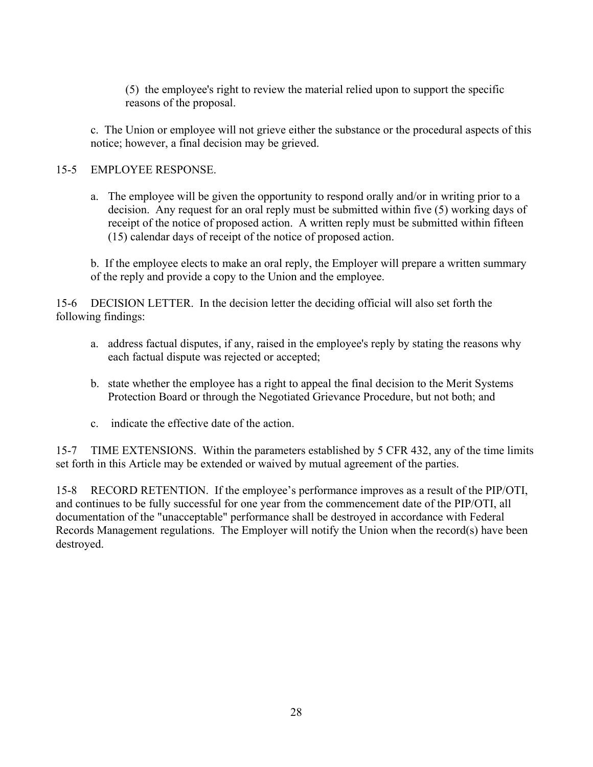(5) the employee's right to review the material relied upon to support the specific reasons of the proposal.

c. The Union or employee will not grieve either the substance or the procedural aspects of this notice; however, a final decision may be grieved.

# 15-5 EMPLOYEE RESPONSE.

 receipt of the notice of proposed action. A written reply must be submitted within fifteen a. The employee will be given the opportunity to respond orally and/or in writing prior to a decision. Any request for an oral reply must be submitted within five (5) working days of (15) calendar days of receipt of the notice of proposed action.

b. If the employee elects to make an oral reply, the Employer will prepare a written summary of the reply and provide a copy to the Union and the employee.

 15-6 DECISION LETTER. In the decision letter the deciding official will also set forth the following findings:

- a. address factual disputes, if any, raised in the employee's reply by stating the reasons why each factual dispute was rejected or accepted;
- b. state whether the employee has a right to appeal the final decision to the Merit Systems Protection Board or through the Negotiated Grievance Procedure, but not both; and
- c. indicate the effective date of the action.

 15-7 TIME EXTENSIONS. Within the parameters established by 5 CFR 432, any of the time limits set forth in this Article may be extended or waived by mutual agreement of the parties.

 and continues to be fully successful for one year from the commencement date of the PIP/OTI, all 15-8 RECORD RETENTION. If the employee's performance improves as a result of the PIP/OTI, documentation of the "unacceptable" performance shall be destroyed in accordance with Federal Records Management regulations. The Employer will notify the Union when the record(s) have been destroyed.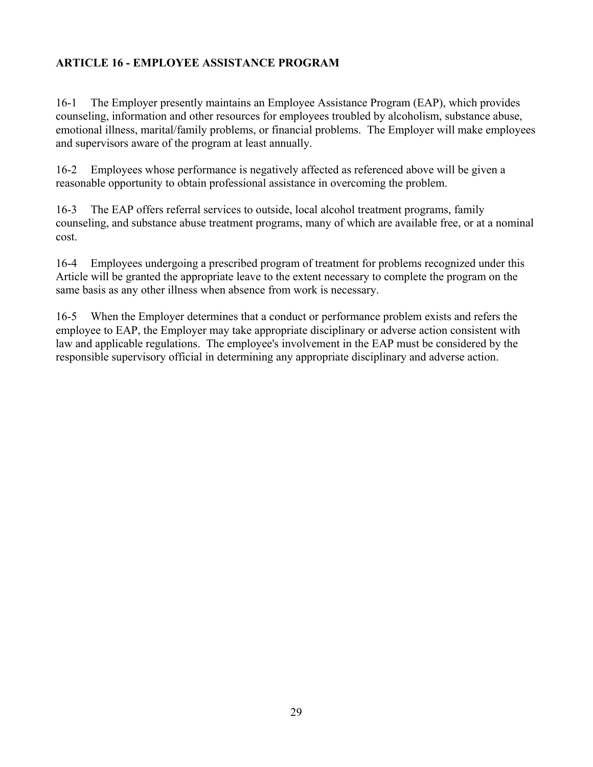# <span id="page-28-0"></span>**ARTICLE 16 - EMPLOYEE ASSISTANCE PROGRAM**

16-1 The Employer presently maintains an Employee Assistance Program (EAP), which provides counseling, information and other resources for employees troubled by alcoholism, substance abuse, emotional illness, marital/family problems, or financial problems. The Employer will make employees and supervisors aware of the program at least annually.

16-2 Employees whose performance is negatively affected as referenced above will be given a reasonable opportunity to obtain professional assistance in overcoming the problem.

 16-3 The EAP offers referral services to outside, local alcohol treatment programs, family counseling, and substance abuse treatment programs, many of which are available free, or at a nominal cost.

 same basis as any other illness when absence from work is necessary. 16-4 Employees undergoing a prescribed program of treatment for problems recognized under this Article will be granted the appropriate leave to the extent necessary to complete the program on the

 16-5 When the Employer determines that a conduct or performance problem exists and refers the employee to EAP, the Employer may take appropriate disciplinary or adverse action consistent with law and applicable regulations. The employee's involvement in the EAP must be considered by the responsible supervisory official in determining any appropriate disciplinary and adverse action.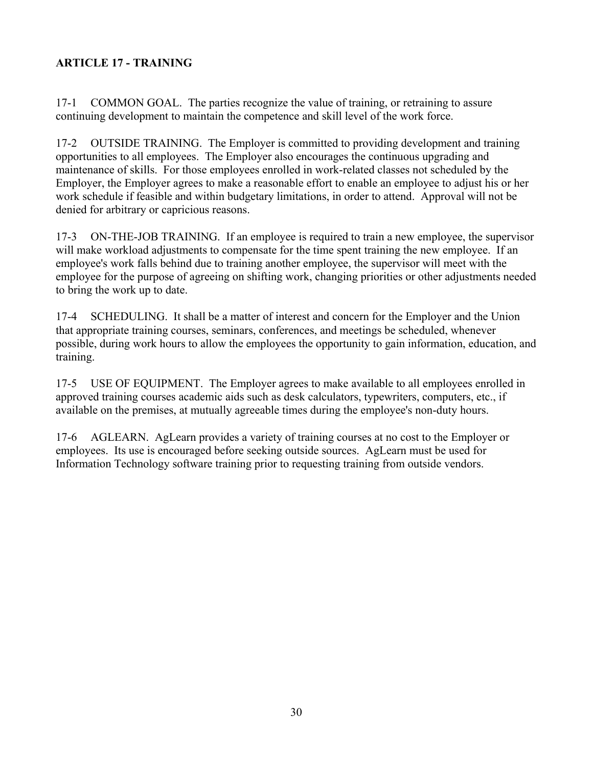# <span id="page-29-0"></span>**ARTICLE 17 - TRAINING**

 17-1 COMMON GOAL. The parties recognize the value of training, or retraining to assure continuing development to maintain the competence and skill level of the work force.

 maintenance of skills. For those employees enrolled in work-related classes not scheduled by the Employer, the Employer agrees to make a reasonable effort to enable an employee to adjust his or her 17-2 OUTSIDE TRAINING. The Employer is committed to providing development and training opportunities to all employees. The Employer also encourages the continuous upgrading and work schedule if feasible and within budgetary limitations, in order to attend. Approval will not be denied for arbitrary or capricious reasons.

 employee's work falls behind due to training another employee, the supervisor will meet with the 17-3 ON-THE-JOB TRAINING. If an employee is required to train a new employee, the supervisor will make workload adjustments to compensate for the time spent training the new employee. If an employee for the purpose of agreeing on shifting work, changing priorities or other adjustments needed to bring the work up to date.

17-4 SCHEDULING. It shall be a matter of interest and concern for the Employer and the Union that appropriate training courses, seminars, conferences, and meetings be scheduled, whenever possible, during work hours to allow the employees the opportunity to gain information, education, and training.

 17-5 USE OF EQUIPMENT. The Employer agrees to make available to all employees enrolled in approved training courses academic aids such as desk calculators, typewriters, computers, etc., if available on the premises, at mutually agreeable times during the employee's non-duty hours.

 17-6 AGLEARN. AgLearn provides a variety of training courses at no cost to the Employer or employees. Its use is encouraged before seeking outside sources. AgLearn must be used for Information Technology software training prior to requesting training from outside vendors.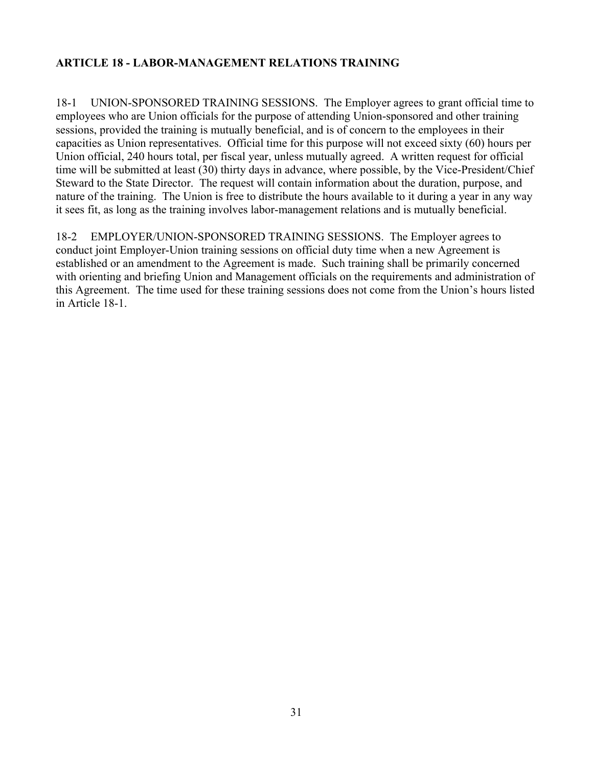# <span id="page-30-0"></span>**ARTICLE 18 - LABOR-MANAGEMENT RELATIONS TRAINING**

 18-1 UNION-SPONSORED TRAINING SESSIONS. The Employer agrees to grant official time to capacities as Union representatives. Official time for this purpose will not exceed sixty (60) hours per it sees fit, as long as the training involves labor-management relations and is mutually beneficial. employees who are Union officials for the purpose of attending Union-sponsored and other training sessions, provided the training is mutually beneficial, and is of concern to the employees in their Union official, 240 hours total, per fiscal year, unless mutually agreed. A written request for official time will be submitted at least (30) thirty days in advance, where possible, by the Vice-President/Chief Steward to the State Director. The request will contain information about the duration, purpose, and nature of the training. The Union is free to distribute the hours available to it during a year in any way

18-2 EMPLOYER/UNION-SPONSORED TRAINING SESSIONS. The Employer agrees to conduct joint Employer-Union training sessions on official duty time when a new Agreement is established or an amendment to the Agreement is made. Such training shall be primarily concerned with orienting and briefing Union and Management officials on the requirements and administration of this Agreement. The time used for these training sessions does not come from the Union's hours listed in Article 18-1.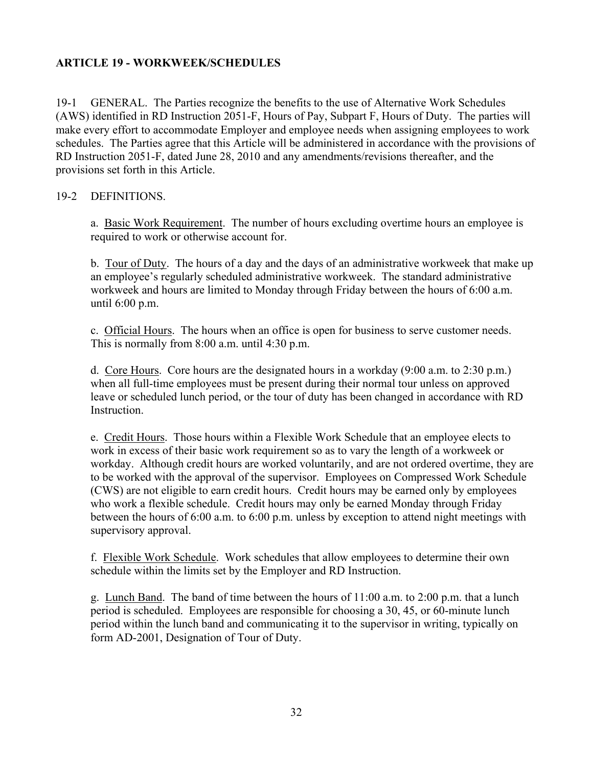### <span id="page-31-0"></span>**ARTICLE 19 - WORKWEEK/SCHEDULES**

 (AWS) identified in RD Instruction 2051-F, Hours of Pay, Subpart F, Hours of Duty. The parties will schedules. The Parties agree that this Article will be administered in accordance with the provisions of 19-1 GENERAL. The Parties recognize the benefits to the use of Alternative Work Schedules make every effort to accommodate Employer and employee needs when assigning employees to work RD Instruction 2051-F, dated June 28, 2010 and any amendments/revisions thereafter, and the provisions set forth in this Article.

#### 19-2 DEFINITIONS.

a. Basic Work Requirement. The number of hours excluding overtime hours an employee is required to work or otherwise account for.

b. Tour of Duty. The hours of a day and the days of an administrative workweek that make up an employee's regularly scheduled administrative workweek. The standard administrative workweek and hours are limited to Monday through Friday between the hours of 6:00 a.m. until 6:00 p.m.

c. Official Hours. The hours when an office is open for business to serve customer needs. This is normally from 8:00 a.m. until 4:30 p.m.

d. Core Hours. Core hours are the designated hours in a workday (9:00 a.m. to 2:30 p.m.) leave or scheduled lunch period, or the tour of duty has been changed in accordance with RD when all full-time employees must be present during their normal tour unless on approved Instruction.

 workday. Although credit hours are worked voluntarily, and are not ordered overtime, they are e. Credit Hours. Those hours within a Flexible Work Schedule that an employee elects to work in excess of their basic work requirement so as to vary the length of a workweek or to be worked with the approval of the supervisor. Employees on Compressed Work Schedule (CWS) are not eligible to earn credit hours. Credit hours may be earned only by employees who work a flexible schedule. Credit hours may only be earned Monday through Friday between the hours of 6:00 a.m. to 6:00 p.m. unless by exception to attend night meetings with supervisory approval.

 f. Flexible Work Schedule. Work schedules that allow employees to determine their own schedule within the limits set by the Employer and RD Instruction.

g. Lunch Band. The band of time between the hours of 11:00 a.m. to 2:00 p.m. that a lunch period is scheduled. Employees are responsible for choosing a 30, 45, or 60-minute lunch period within the lunch band and communicating it to the supervisor in writing, typically on form AD-2001, Designation of Tour of Duty.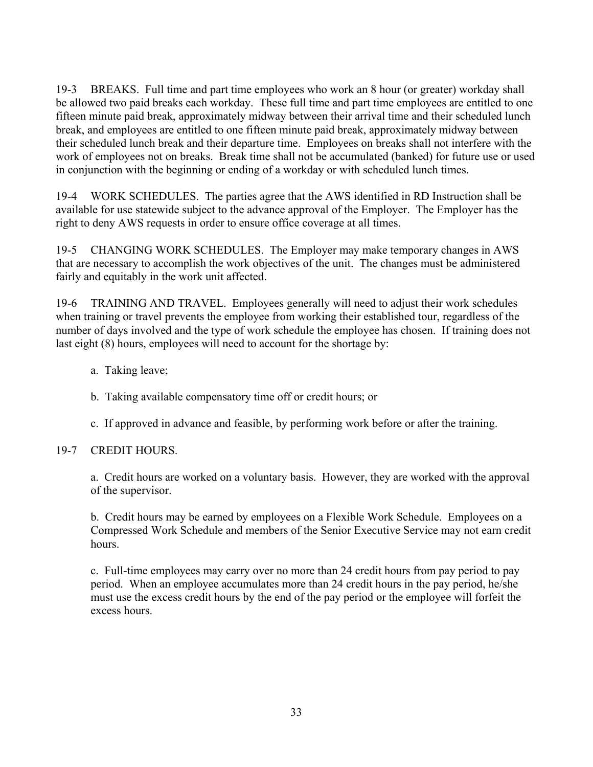19-3 BREAKS. Full time and part time employees who work an 8 hour (or greater) workday shall be allowed two paid breaks each workday. These full time and part time employees are entitled to one fifteen minute paid break, approximately midway between their arrival time and their scheduled lunch break, and employees are entitled to one fifteen minute paid break, approximately midway between their scheduled lunch break and their departure time. Employees on breaks shall not interfere with the work of employees not on breaks. Break time shall not be accumulated (banked) for future use or used in conjunction with the beginning or ending of a workday or with scheduled lunch times.

 19-4 WORK SCHEDULES. The parties agree that the AWS identified in RD Instruction shall be right to deny AWS requests in order to ensure office coverage at all times. available for use statewide subject to the advance approval of the Employer. The Employer has the

 19-5 CHANGING WORK SCHEDULES. The Employer may make temporary changes in AWS fairly and equitably in the work unit affected. that are necessary to accomplish the work objectives of the unit. The changes must be administered

 number of days involved and the type of work schedule the employee has chosen. If training does not last eight (8) hours, employees will need to account for the shortage by: 19-6 TRAINING AND TRAVEL. Employees generally will need to adjust their work schedules when training or travel prevents the employee from working their established tour, regardless of the

- a. Taking leave;
- b. Taking available compensatory time off or credit hours; or
- c. If approved in advance and feasible, by performing work before or after the training.

# 19-7 CREDIT HOURS.

 a. Credit hours are worked on a voluntary basis. However, they are worked with the approval of the supervisor.

b. Credit hours may be earned by employees on a Flexible Work Schedule. Employees on a Compressed Work Schedule and members of the Senior Executive Service may not earn credit hours.

c. Full-time employees may carry over no more than 24 credit hours from pay period to pay period. When an employee accumulates more than 24 credit hours in the pay period, he/she must use the excess credit hours by the end of the pay period or the employee will forfeit the excess hours.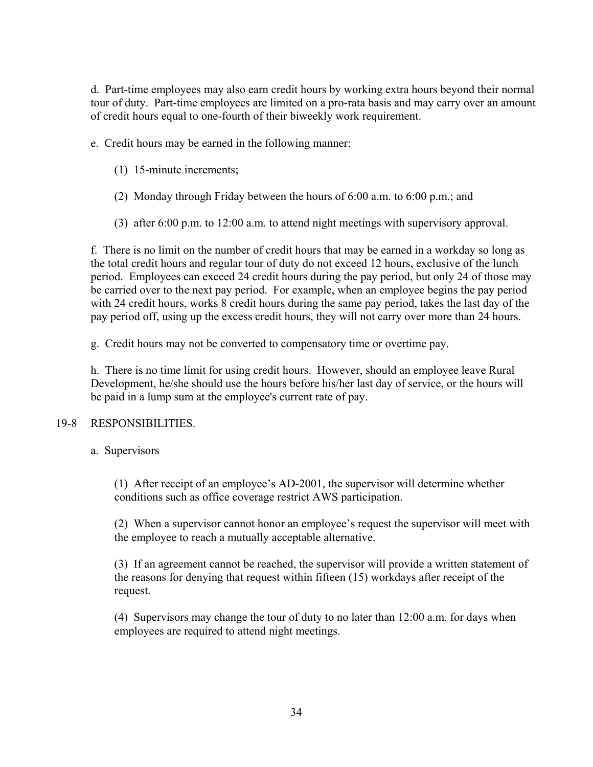tour of duty. Part-time employees are limited on a pro-rata basis and may carry over an amount d. Part-time employees may also earn credit hours by working extra hours beyond their normal of credit hours equal to one-fourth of their biweekly work requirement.

e. Credit hours may be earned in the following manner:

- (1) 15-minute increments;
- (2) Monday through Friday between the hours of 6:00 a.m. to 6:00 p.m.; and
- (3) after 6:00 p.m. to 12:00 a.m. to attend night meetings with supervisory approval.

 f. There is no limit on the number of credit hours that may be earned in a workday so long as with 24 credit hours, works 8 credit hours during the same pay period, takes the last day of the the total credit hours and regular tour of duty do not exceed 12 hours, exclusive of the lunch period. Employees can exceed 24 credit hours during the pay period, but only 24 of those may be carried over to the next pay period. For example, when an employee begins the pay period pay period off, using up the excess credit hours, they will not carry over more than 24 hours.

g. Credit hours may not be converted to compensatory time or overtime pay.

 h. There is no time limit for using credit hours. However, should an employee leave Rural be paid in a lump sum at the employee's current rate of pay. Development, he/she should use the hours before his/her last day of service, or the hours will

#### 19-8 RESPONSIBILITIES.

a. Supervisors

(1) After receipt of an employee's AD-2001, the supervisor will determine whether conditions such as office coverage restrict AWS participation.

 (2) When a supervisor cannot honor an employee's request the supervisor will meet with the employee to reach a mutually acceptable alternative.

(3) If an agreement cannot be reached, the supervisor will provide a written statement of the reasons for denying that request within fifteen (15) workdays after receipt of the request.

(4) Supervisors may change the tour of duty to no later than 12:00 a.m. for days when employees are required to attend night meetings.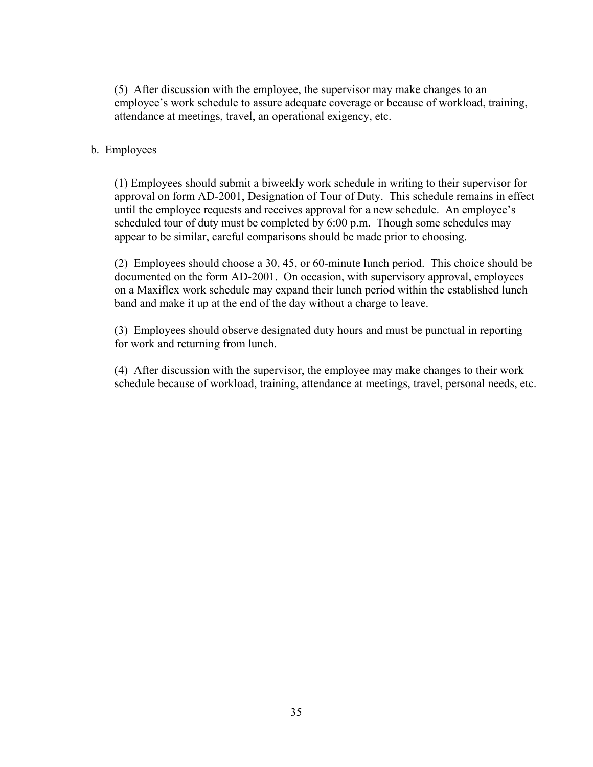(5) After discussion with the employee, the supervisor may make changes to an employee's work schedule to assure adequate coverage or because of workload, training, attendance at meetings, travel, an operational exigency, etc.

#### b. Employees

(1) Employees should submit a biweekly work schedule in writing to their supervisor for approval on form AD-2001, Designation of Tour of Duty. This schedule remains in effect until the employee requests and receives approval for a new schedule. An employee's scheduled tour of duty must be completed by 6:00 p.m. Though some schedules may appear to be similar, careful comparisons should be made prior to choosing.

 band and make it up at the end of the day without a charge to leave. (2) Employees should choose a 30, 45, or 60-minute lunch period. This choice should be documented on the form AD-2001. On occasion, with supervisory approval, employees on a Maxiflex work schedule may expand their lunch period within the established lunch

(3) Employees should observe designated duty hours and must be punctual in reporting for work and returning from lunch.

(4) After discussion with the supervisor, the employee may make changes to their work schedule because of workload, training, attendance at meetings, travel, personal needs, etc.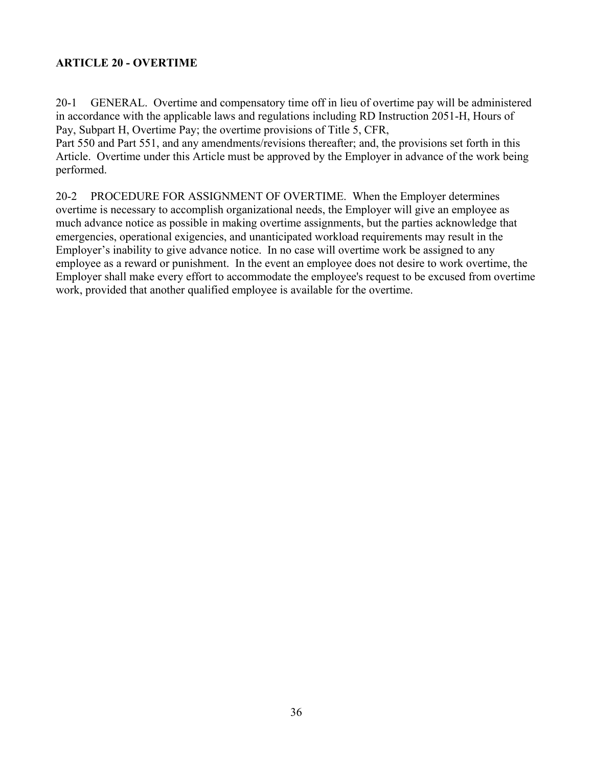# <span id="page-35-0"></span>**ARTICLE 20 - OVERTIME**

20-1 GENERAL. Overtime and compensatory time off in lieu of overtime pay will be administered in accordance with the applicable laws and regulations including RD Instruction 2051-H, Hours of Pay, Subpart H, Overtime Pay; the overtime provisions of Title 5, CFR,

 Part 550 and Part 551, and any amendments/revisions thereafter; and, the provisions set forth in this Article. Overtime under this Article must be approved by the Employer in advance of the work being performed.

 20-2 PROCEDURE FOR ASSIGNMENT OF OVERTIME. When the Employer determines much advance notice as possible in making overtime assignments, but the parties acknowledge that emergencies, operational exigencies, and unanticipated workload requirements may result in the employee as a reward or punishment. In the event an employee does not desire to work overtime, the overtime is necessary to accomplish organizational needs, the Employer will give an employee as Employer's inability to give advance notice. In no case will overtime work be assigned to any Employer shall make every effort to accommodate the employee's request to be excused from overtime work, provided that another qualified employee is available for the overtime.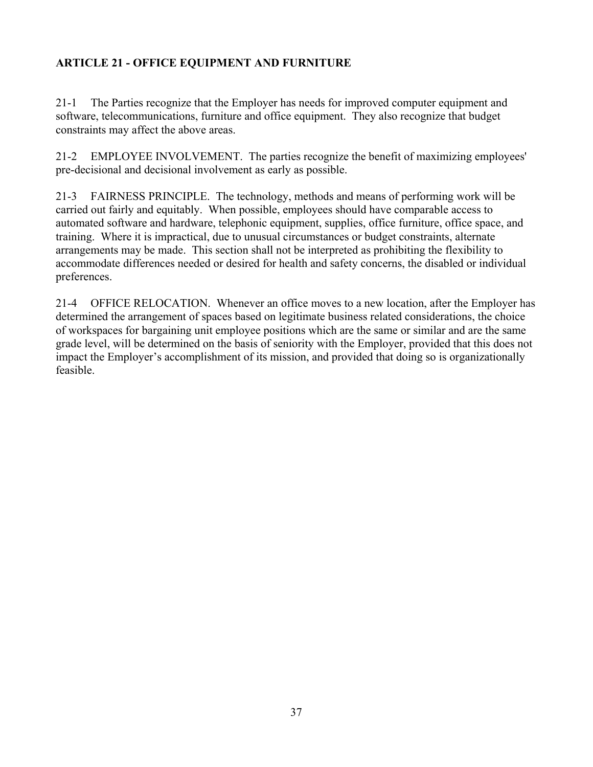# <span id="page-36-0"></span>**ARTICLE 21 - OFFICE EQUIPMENT AND FURNITURE**

21-1 The Parties recognize that the Employer has needs for improved computer equipment and software, telecommunications, furniture and office equipment. They also recognize that budget constraints may affect the above areas.

21-2 EMPLOYEE INVOLVEMENT. The parties recognize the benefit of maximizing employees' pre-decisional and decisional involvement as early as possible.

 arrangements may be made. This section shall not be interpreted as prohibiting the flexibility to 21-3 FAIRNESS PRINCIPLE. The technology, methods and means of performing work will be carried out fairly and equitably. When possible, employees should have comparable access to automated software and hardware, telephonic equipment, supplies, office furniture, office space, and training. Where it is impractical, due to unusual circumstances or budget constraints, alternate accommodate differences needed or desired for health and safety concerns, the disabled or individual preferences.

 21-4 OFFICE RELOCATION. Whenever an office moves to a new location, after the Employer has determined the arrangement of spaces based on legitimate business related considerations, the choice of workspaces for bargaining unit employee positions which are the same or similar and are the same grade level, will be determined on the basis of seniority with the Employer, provided that this does not impact the Employer's accomplishment of its mission, and provided that doing so is organizationally feasible.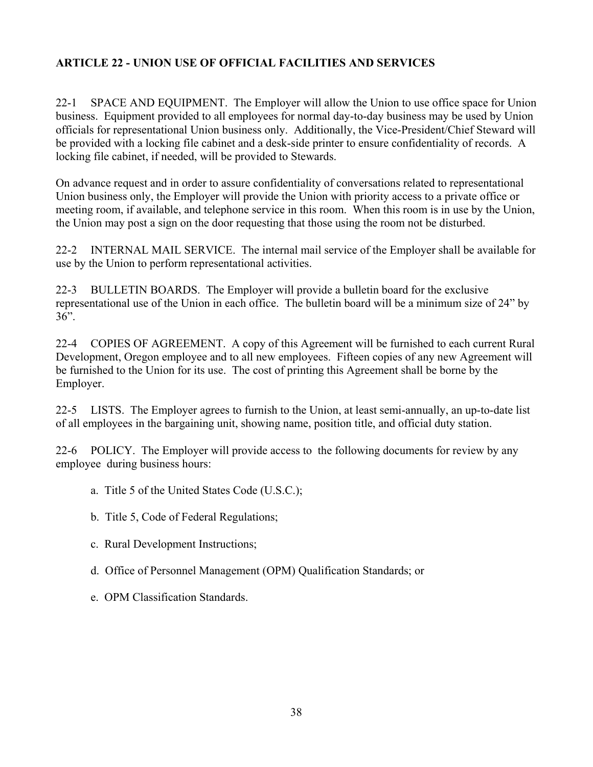# <span id="page-37-0"></span>**ARTICLE 22 - UNION USE OF OFFICIAL FACILITIES AND SERVICES**

 $22 - 1$ 22-1 SPACE AND EQUIPMENT. The Employer will allow the Union to use office space for Union business. Equipment provided to all employees for normal day-to-day business may be used by Union officials for representational Union business only. Additionally, the Vice-President/Chief Steward will be provided with a locking file cabinet and a desk-side printer to ensure confidentiality of records. A locking file cabinet, if needed, will be provided to Stewards.

 Union business only, the Employer will provide the Union with priority access to a private office or On advance request and in order to assure confidentiality of conversations related to representational meeting room, if available, and telephone service in this room. When this room is in use by the Union, the Union may post a sign on the door requesting that those using the room not be disturbed.

22-2 INTERNAL MAIL SERVICE. The internal mail service of the Employer shall be available for use by the Union to perform representational activities.

22-3 BULLETIN BOARDS. The Employer will provide a bulletin board for the exclusive representational use of the Union in each office. The bulletin board will be a minimum size of 24" by  $36"$ .

22-4 COPIES OF AGREEMENT. A copy of this Agreement will be furnished to each current Rural Development, Oregon employee and to all new employees. Fifteen copies of any new Agreement will be furnished to the Union for its use. The cost of printing this Agreement shall be borne by the Employer.

22-5 LISTS. The Employer agrees to furnish to the Union, at least semi-annually, an up-to-date list of all employees in the bargaining unit, showing name, position title, and official duty station.

 22-6 POLICY. The Employer will provide access to the following documents for review by any employee during business hours:

- a. Title 5 of the United States Code (U.S.C.);
- 
- b. Title 5, Code of Federal Regulations; c. Rural Development Instructions;
- d. Office of Personnel Management (OPM) Qualification Standards; or
- e. OPM Classification Standards.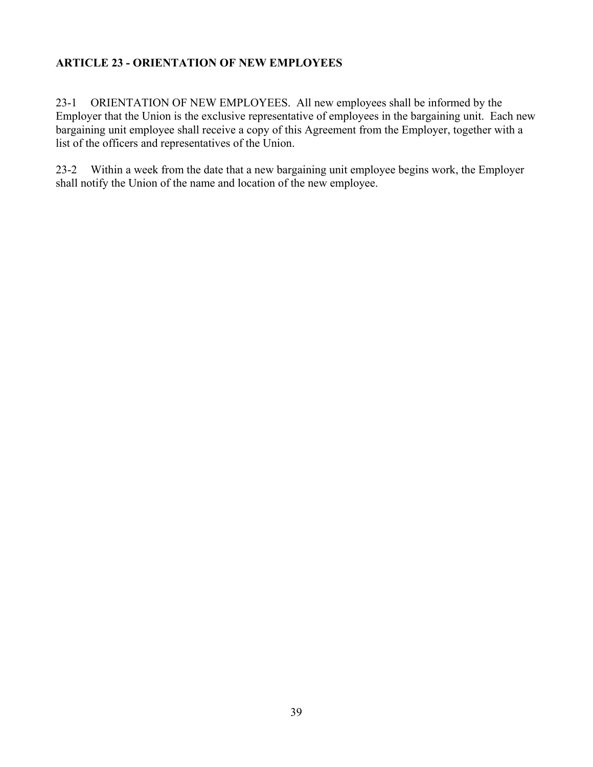# <span id="page-38-0"></span>**ARTICLE 23 - ORIENTATION OF NEW EMPLOYEES**

23-1 ORIENTATION OF NEW EMPLOYEES. All new employees shall be informed by the Employer that the Union is the exclusive representative of employees in the bargaining unit. Each new bargaining unit employee shall receive a copy of this Agreement from the Employer, together with a list of the officers and representatives of the Union.

23-2 Within a week from the date that a new bargaining unit employee begins work, the Employer shall notify the Union of the name and location of the new employee.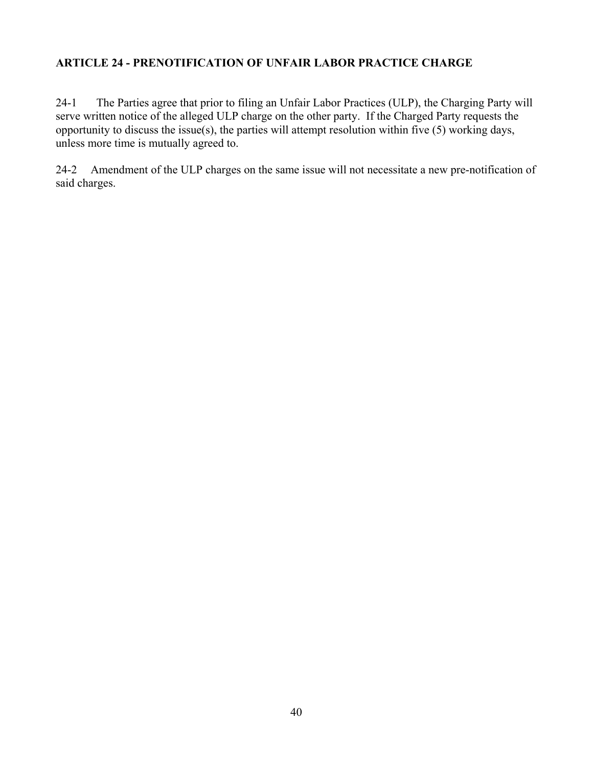### <span id="page-39-0"></span>**ARTICLE 24 - PRENOTIFICATION OF UNFAIR LABOR PRACTICE CHARGE**

 $24-1$  serve written notice of the alleged ULP charge on the other party. If the Charged Party requests the The Parties agree that prior to filing an Unfair Labor Practices (ULP), the Charging Party will opportunity to discuss the issue(s), the parties will attempt resolution within five (5) working days, unless more time is mutually agreed to.

 24-2 Amendment of the ULP charges on the same issue will not necessitate a new pre-notification of said charges.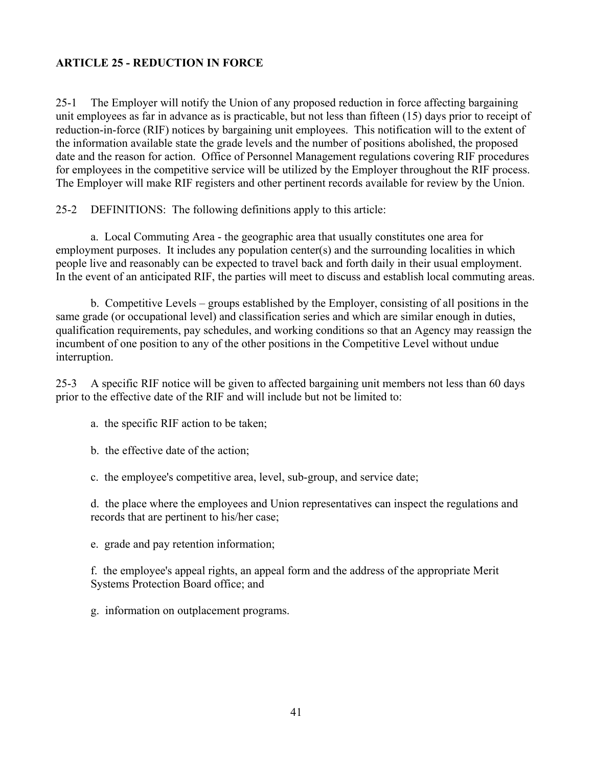### <span id="page-40-0"></span>**ARTICLE 25 - REDUCTION IN FORCE**

 unit employees as far in advance as is practicable, but not less than fifteen (15) days prior to receipt of reduction-in-force (RIF) notices by bargaining unit employees. This notification will to the extent of The Employer will make RIF registers and other pertinent records available for review by the Union. 25-1 The Employer will notify the Union of any proposed reduction in force affecting bargaining the information available state the grade levels and the number of positions abolished, the proposed date and the reason for action. Office of Personnel Management regulations covering RIF procedures for employees in the competitive service will be utilized by the Employer throughout the RIF process.

25-2 DEFINITIONS: The following definitions apply to this article:

 a. Local Commuting Area - the geographic area that usually constitutes one area for In the event of an anticipated RIF, the parties will meet to discuss and establish local commuting areas. employment purposes. It includes any population center(s) and the surrounding localities in which people live and reasonably can be expected to travel back and forth daily in their usual employment.

 b. Competitive Levels – groups established by the Employer, consisting of all positions in the incumbent of one position to any of the other positions in the Competitive Level without undue same grade (or occupational level) and classification series and which are similar enough in duties, qualification requirements, pay schedules, and working conditions so that an Agency may reassign the interruption.

25-3 A specific RIF notice will be given to affected bargaining unit members not less than 60 days prior to the effective date of the RIF and will include but not be limited to:

- a. the specific RIF action to be taken;
- b. the effective date of the action;
- c. the employee's competitive area, level, sub-group, and service date;

d. the place where the employees and Union representatives can inspect the regulations and records that are pertinent to his/her case;

e. grade and pay retention information;

f. the employee's appeal rights, an appeal form and the address of the appropriate Merit Systems Protection Board office; and

g. information on outplacement programs.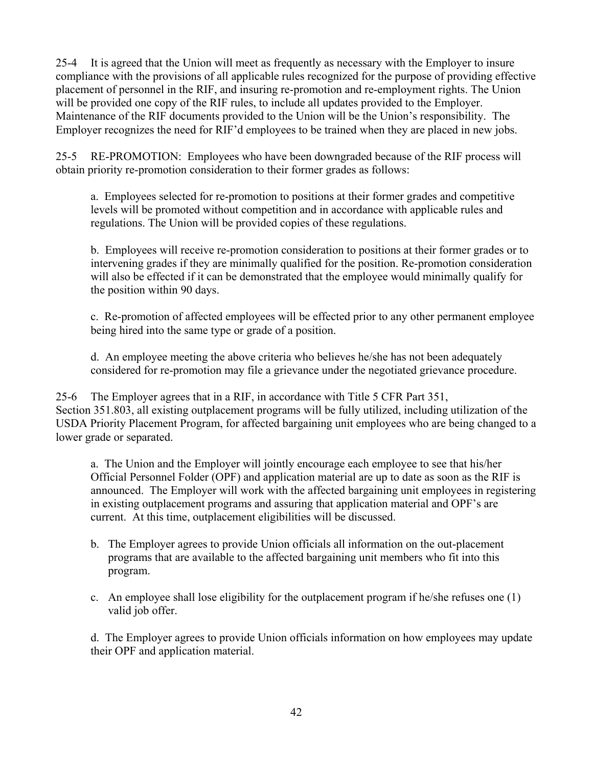compliance with the provisions of all applicable rules recognized for the purpose of providing effective 25-4 It is agreed that the Union will meet as frequently as necessary with the Employer to insure placement of personnel in the RIF, and insuring re-promotion and re-employment rights. The Union will be provided one copy of the RIF rules, to include all updates provided to the Employer. Maintenance of the RIF documents provided to the Union will be the Union's responsibility. The Employer recognizes the need for RIF'd employees to be trained when they are placed in new jobs.

25-5 RE-PROMOTION: Employees who have been downgraded because of the RIF process will obtain priority re-promotion consideration to their former grades as follows:

 levels will be promoted without competition and in accordance with applicable rules and a. Employees selected for re-promotion to positions at their former grades and competitive regulations. The Union will be provided copies of these regulations.

b. Employees will receive re-promotion consideration to positions at their former grades or to intervening grades if they are minimally qualified for the position. Re-promotion consideration will also be effected if it can be demonstrated that the employee would minimally qualify for the position within 90 days.

c. Re-promotion of affected employees will be effected prior to any other permanent employee being hired into the same type or grade of a position.

d. An employee meeting the above criteria who believes he/she has not been adequately considered for re-promotion may file a grievance under the negotiated grievance procedure.

 Section 351.803, all existing outplacement programs will be fully utilized, including utilization of the 25-6 The Employer agrees that in a RIF, in accordance with Title 5 CFR Part 351, USDA Priority Placement Program, for affected bargaining unit employees who are being changed to a lower grade or separated.

 announced. The Employer will work with the affected bargaining unit employees in registering a. The Union and the Employer will jointly encourage each employee to see that his/her Official Personnel Folder (OPF) and application material are up to date as soon as the RIF is in existing outplacement programs and assuring that application material and OPF's are current. At this time, outplacement eligibilities will be discussed.

- b. The Employer agrees to provide Union officials all information on the out-placement programs that are available to the affected bargaining unit members who fit into this program.
- c. An employee shall lose eligibility for the outplacement program if he/she refuses one (1) valid job offer.

d. The Employer agrees to provide Union officials information on how employees may update their OPF and application material.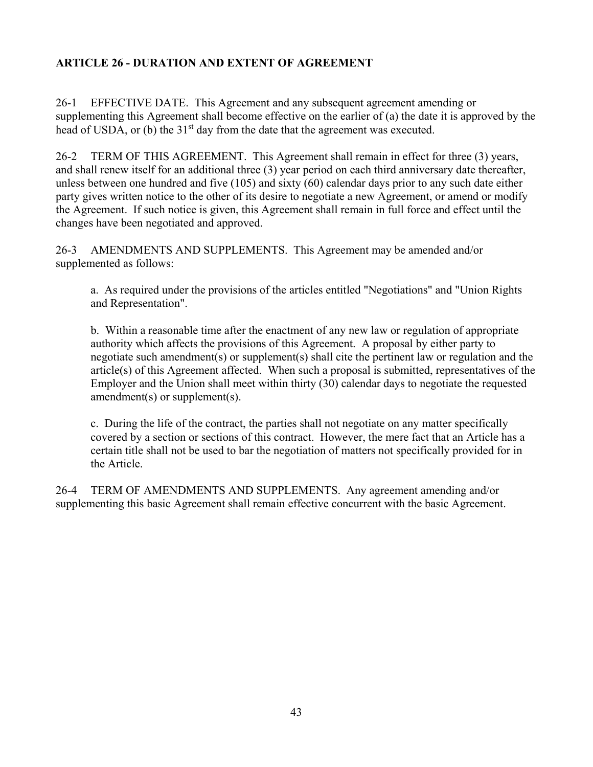# <span id="page-42-0"></span>**ARTICLE 26 - DURATION AND EXTENT OF AGREEMENT**

26-1 EFFECTIVE DATE. This Agreement and any subsequent agreement amending or supplementing this Agreement shall become effective on the earlier of (a) the date it is approved by the head of USDA, or (b) the 31<sup>st</sup> day from the date that the agreement was executed.

 26-2 TERM OF THIS AGREEMENT. This Agreement shall remain in effect for three (3) years, and shall renew itself for an additional three (3) year period on each third anniversary date thereafter, unless between one hundred and five (105) and sixty (60) calendar days prior to any such date either party gives written notice to the other of its desire to negotiate a new Agreement, or amend or modify the Agreement. If such notice is given, this Agreement shall remain in full force and effect until the changes have been negotiated and approved.

26-3 AMENDMENTS AND SUPPLEMENTS. This Agreement may be amended and/or supplemented as follows:

a. As required under the provisions of the articles entitled "Negotiations" and "Union Rights and Representation".

b. Within a reasonable time after the enactment of any new law or regulation of appropriate authority which affects the provisions of this Agreement. A proposal by either party to negotiate such amendment(s) or supplement(s) shall cite the pertinent law or regulation and the article(s) of this Agreement affected. When such a proposal is submitted, representatives of the Employer and the Union shall meet within thirty (30) calendar days to negotiate the requested amendment(s) or supplement(s).

 covered by a section or sections of this contract. However, the mere fact that an Article has a c. During the life of the contract, the parties shall not negotiate on any matter specifically certain title shall not be used to bar the negotiation of matters not specifically provided for in the Article.

26-4 TERM OF AMENDMENTS AND SUPPLEMENTS. Any agreement amending and/or supplementing this basic Agreement shall remain effective concurrent with the basic Agreement.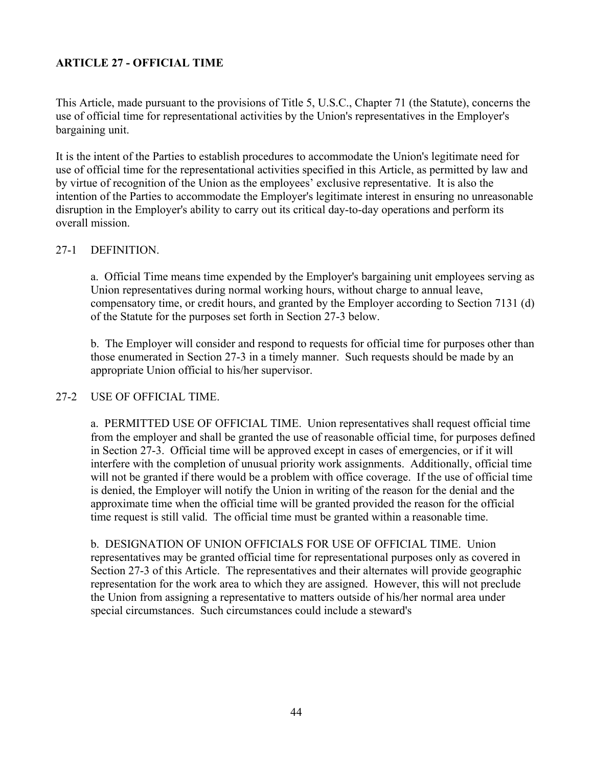# <span id="page-43-0"></span>**ARTICLE 27 - OFFICIAL TIME**

This Article, made pursuant to the provisions of Title 5, U.S.C., Chapter 71 (the Statute), concerns the use of official time for representational activities by the Union's representatives in the Employer's bargaining unit.

 use of official time for the representational activities specified in this Article, as permitted by law and It is the intent of the Parties to establish procedures to accommodate the Union's legitimate need for by virtue of recognition of the Union as the employees' exclusive representative. It is also the intention of the Parties to accommodate the Employer's legitimate interest in ensuring no unreasonable disruption in the Employer's ability to carry out its critical day-to-day operations and perform its overall mission.

#### 27-1 DEFINITION.

 Union representatives during normal working hours, without charge to annual leave, a. Official Time means time expended by the Employer's bargaining unit employees serving as compensatory time, or credit hours, and granted by the Employer according to Section 7131 (d) of the Statute for the purposes set forth in Section 27-3 below.

 b. The Employer will consider and respond to requests for official time for purposes other than those enumerated in Section 27-3 in a timely manner. Such requests should be made by an appropriate Union official to his/her supervisor.

#### 27-2 USE OF OFFICIAL TIME.

 will not be granted if there would be a problem with office coverage. If the use of official time a. PERMITTED USE OF OFFICIAL TIME. Union representatives shall request official time from the employer and shall be granted the use of reasonable official time, for purposes defined in Section 27-3. Official time will be approved except in cases of emergencies, or if it will interfere with the completion of unusual priority work assignments. Additionally, official time is denied, the Employer will notify the Union in writing of the reason for the denial and the approximate time when the official time will be granted provided the reason for the official time request is still valid. The official time must be granted within a reasonable time.

 representatives may be granted official time for representational purposes only as covered in representation for the work area to which they are assigned. However, this will not preclude b. DESIGNATION OF UNION OFFICIALS FOR USE OF OFFICIAL TIME. Union Section 27-3 of this Article. The representatives and their alternates will provide geographic the Union from assigning a representative to matters outside of his/her normal area under special circumstances. Such circumstances could include a steward's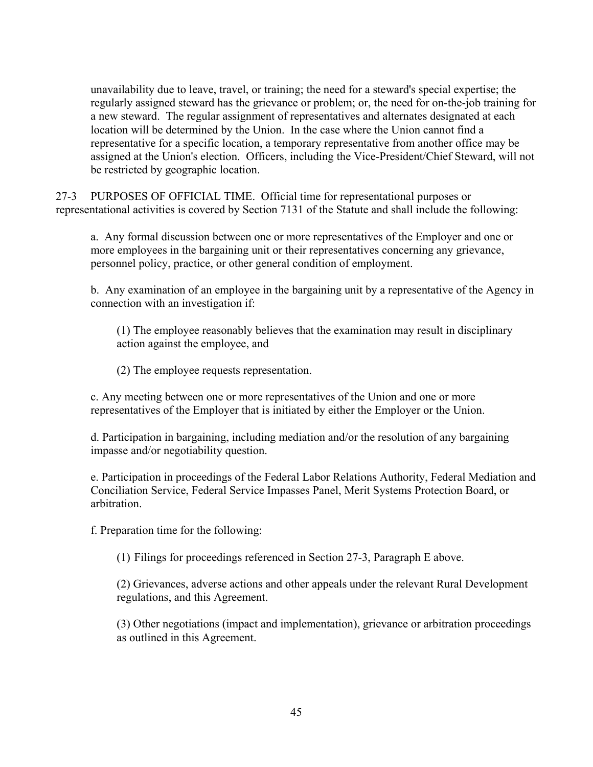regularly assigned steward has the grievance or problem; or, the need for on-the-job training for location will be determined by the Union. In the case where the Union cannot find a unavailability due to leave, travel, or training; the need for a steward's special expertise; the a new steward. The regular assignment of representatives and alternates designated at each representative for a specific location, a temporary representative from another office may be assigned at the Union's election. Officers, including the Vice-President/Chief Steward, will not be restricted by geographic location.

 representational activities is covered by Section 7131 of the Statute and shall include the following: 27-3 PURPOSES OF OFFICIAL TIME. Official time for representational purposes or

a. Any formal discussion between one or more representatives of the Employer and one or more employees in the bargaining unit or their representatives concerning any grievance, personnel policy, practice, or other general condition of employment.

b. Any examination of an employee in the bargaining unit by a representative of the Agency in connection with an investigation if:

(1) The employee reasonably believes that the examination may result in disciplinary action against the employee, and

(2) The employee requests representation.

c. Any meeting between one or more representatives of the Union and one or more representatives of the Employer that is initiated by either the Employer or the Union.

 d. Participation in bargaining, including mediation and/or the resolution of any bargaining impasse and/or negotiability question.

e. Participation in proceedings of the Federal Labor Relations Authority, Federal Mediation and Conciliation Service, Federal Service Impasses Panel, Merit Systems Protection Board, or arbitration.

f. Preparation time for the following:

(1) Filings for proceedings referenced in Section 27-3, Paragraph E above.

 (2) Grievances, adverse actions and other appeals under the relevant Rural Development regulations, and this Agreement.

(3) Other negotiations (impact and implementation), grievance or arbitration proceedings as outlined in this Agreement.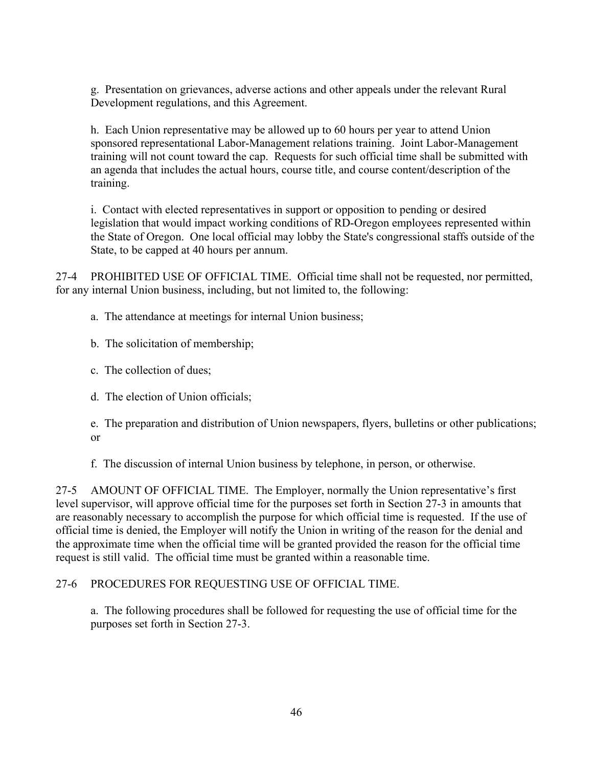g. Presentation on grievances, adverse actions and other appeals under the relevant Rural Development regulations, and this Agreement.

h. Each Union representative may be allowed up to 60 hours per year to attend Union sponsored representational Labor-Management relations training. Joint Labor-Management training will not count toward the cap. Requests for such official time shall be submitted with an agenda that includes the actual hours, course title, and course content/description of the training.

 legislation that would impact working conditions of RD-Oregon employees represented within i. Contact with elected representatives in support or opposition to pending or desired the State of Oregon. One local official may lobby the State's congressional staffs outside of the State, to be capped at 40 hours per annum.

27-4 PROHIBITED USE OF OFFICIAL TIME. Official time shall not be requested, nor permitted, for any internal Union business, including, but not limited to, the following:

a. The attendance at meetings for internal Union business;

- b. The solicitation of membership;
- c. The collection of dues;
- d. The election of Union officials;

e. The preparation and distribution of Union newspapers, flyers, bulletins or other publications; or

f. The discussion of internal Union business by telephone, in person, or otherwise.

27-5 AMOUNT OF OFFICIAL TIME. The Employer, normally the Union representative's first level supervisor, will approve official time for the purposes set forth in Section 27-3 in amounts that are reasonably necessary to accomplish the purpose for which official time is requested. If the use of official time is denied, the Employer will notify the Union in writing of the reason for the denial and the approximate time when the official time will be granted provided the reason for the official time request is still valid. The official time must be granted within a reasonable time.

# 27-6 PROCEDURES FOR REQUESTING USE OF OFFICIAL TIME.

a. The following procedures shall be followed for requesting the use of official time for the purposes set forth in Section 27-3.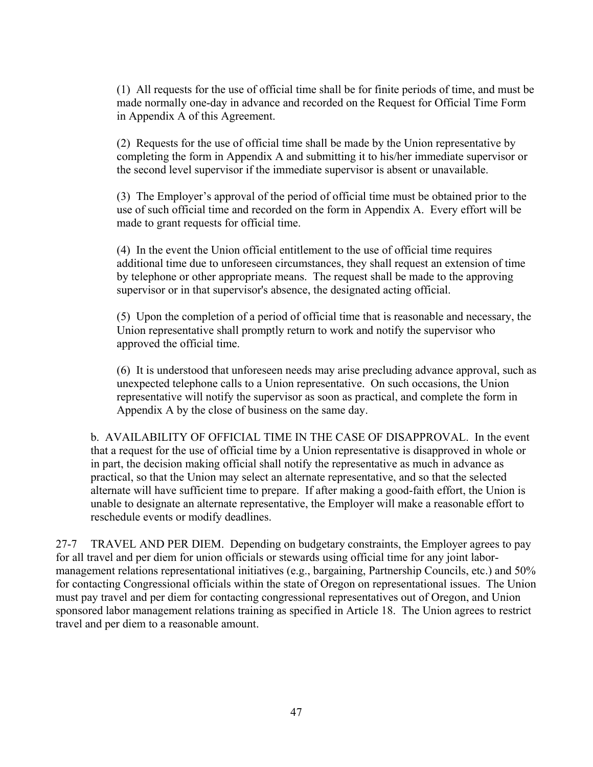(1) All requests for the use of official time shall be for finite periods of time, and must be made normally one-day in advance and recorded on the Request for Official Time Form in Appendix A of this Agreement.

(2) Requests for the use of official time shall be made by the Union representative by completing the form in Appendix A and submitting it to his/her immediate supervisor or the second level supervisor if the immediate supervisor is absent or unavailable.

 (3) The Employer's approval of the period of official time must be obtained prior to the use of such official time and recorded on the form in Appendix A. Every effort will be made to grant requests for official time.

(4) In the event the Union official entitlement to the use of official time requires additional time due to unforeseen circumstances, they shall request an extension of time by telephone or other appropriate means. The request shall be made to the approving supervisor or in that supervisor's absence, the designated acting official.

(5) Upon the completion of a period of official time that is reasonable and necessary, the Union representative shall promptly return to work and notify the supervisor who approved the official time.

(6) It is understood that unforeseen needs may arise precluding advance approval, such as unexpected telephone calls to a Union representative. On such occasions, the Union representative will notify the supervisor as soon as practical, and complete the form in Appendix A by the close of business on the same day.

 b. AVAILABILITY OF OFFICIAL TIME IN THE CASE OF DISAPPROVAL. In the event practical, so that the Union may select an alternate representative, and so that the selected that a request for the use of official time by a Union representative is disapproved in whole or in part, the decision making official shall notify the representative as much in advance as alternate will have sufficient time to prepare. If after making a good-faith effort, the Union is unable to designate an alternate representative, the Employer will make a reasonable effort to reschedule events or modify deadlines.

 management relations representational initiatives (e.g., bargaining, Partnership Councils, etc.) and 50% must pay travel and per diem for contacting congressional representatives out of Oregon, and Union sponsored labor management relations training as specified in Article 18. The Union agrees to restrict 27-7 TRAVEL AND PER DIEM. Depending on budgetary constraints, the Employer agrees to pay for all travel and per diem for union officials or stewards using official time for any joint laborfor contacting Congressional officials within the state of Oregon on representational issues. The Union travel and per diem to a reasonable amount.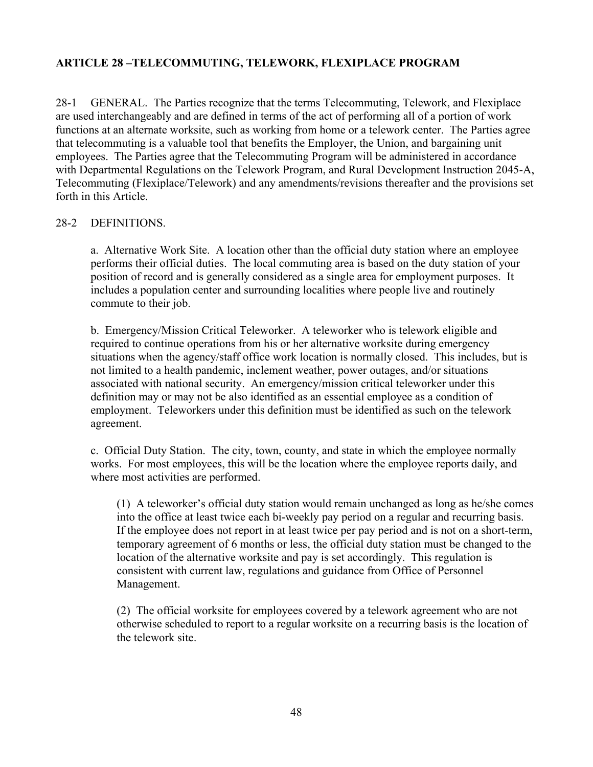#### <span id="page-47-0"></span>**ARTICLE 28 –TELECOMMUTING, TELEWORK, FLEXIPLACE PROGRAM**

 functions at an alternate worksite, such as working from home or a telework center. The Parties agree 28-1 GENERAL. The Parties recognize that the terms Telecommuting, Telework, and Flexiplace are used interchangeably and are defined in terms of the act of performing all of a portion of work that telecommuting is a valuable tool that benefits the Employer, the Union, and bargaining unit employees. The Parties agree that the Telecommuting Program will be administered in accordance with Departmental Regulations on the Telework Program, and Rural Development Instruction 2045-A, Telecommuting (Flexiplace/Telework) and any amendments/revisions thereafter and the provisions set forth in this Article.

#### 28-2 DEFINITIONS.

 a. Alternative Work Site. A location other than the official duty station where an employee position of record and is generally considered as a single area for employment purposes. It performs their official duties. The local commuting area is based on the duty station of your includes a population center and surrounding localities where people live and routinely commute to their job.

 definition may or may not be also identified as an essential employee as a condition of b. Emergency/Mission Critical Teleworker. A teleworker who is telework eligible and required to continue operations from his or her alternative worksite during emergency situations when the agency/staff office work location is normally closed. This includes, but is not limited to a health pandemic, inclement weather, power outages, and/or situations associated with national security. An emergency/mission critical teleworker under this employment. Teleworkers under this definition must be identified as such on the telework agreement.

c. Official Duty Station. The city, town, county, and state in which the employee normally works. For most employees, this will be the location where the employee reports daily, and where most activities are performed.

 If the employee does not report in at least twice per pay period and is not on a short-term, (1) A teleworker's official duty station would remain unchanged as long as he/she comes into the office at least twice each bi-weekly pay period on a regular and recurring basis. temporary agreement of 6 months or less, the official duty station must be changed to the location of the alternative worksite and pay is set accordingly. This regulation is consistent with current law, regulations and guidance from Office of Personnel Management.

(2) The official worksite for employees covered by a telework agreement who are not otherwise scheduled to report to a regular worksite on a recurring basis is the location of the telework site.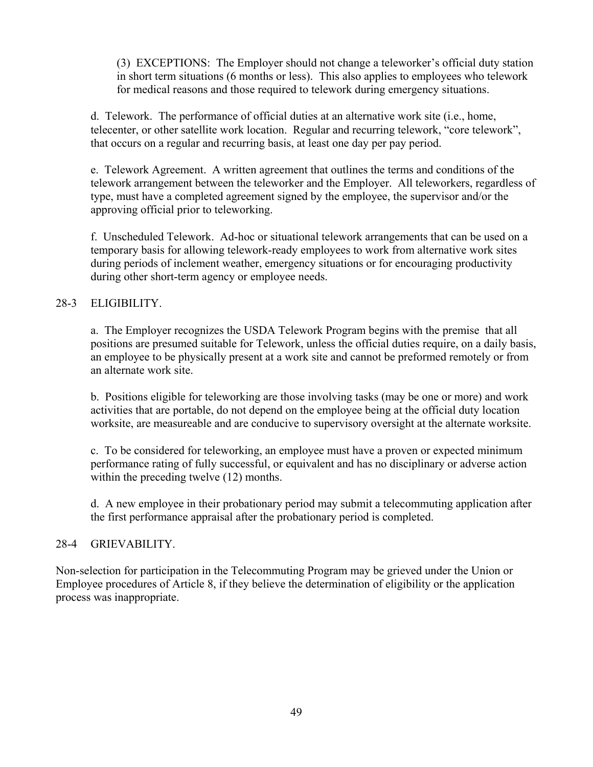for medical reasons and those required to telework during emergency situations. (3) EXCEPTIONS: The Employer should not change a teleworker's official duty station in short term situations (6 months or less). This also applies to employees who telework

 telecenter, or other satellite work location. Regular and recurring telework, "core telework", d. Telework. The performance of official duties at an alternative work site (i.e., home, that occurs on a regular and recurring basis, at least one day per pay period.

 e. Telework Agreement. A written agreement that outlines the terms and conditions of the telework arrangement between the teleworker and the Employer. All teleworkers, regardless of type, must have a completed agreement signed by the employee, the supervisor and/or the approving official prior to teleworking.

 f. Unscheduled Telework. Ad-hoc or situational telework arrangements that can be used on a temporary basis for allowing telework-ready employees to work from alternative work sites during periods of inclement weather, emergency situations or for encouraging productivity during other short-term agency or employee needs.

# 28-3 ELIGIBILITY.

a. The Employer recognizes the USDA Telework Program begins with the premise that all positions are presumed suitable for Telework, unless the official duties require, on a daily basis, an employee to be physically present at a work site and cannot be preformed remotely or from an alternate work site.

b. Positions eligible for teleworking are those involving tasks (may be one or more) and work activities that are portable, do not depend on the employee being at the official duty location worksite, are measureable and are conducive to supervisory oversight at the alternate worksite.

c. To be considered for teleworking, an employee must have a proven or expected minimum performance rating of fully successful, or equivalent and has no disciplinary or adverse action within the preceding twelve  $(12)$  months.

d. A new employee in their probationary period may submit a telecommuting application after the first performance appraisal after the probationary period is completed.

#### 28-4 GRIEVABILITY.

Non-selection for participation in the Telecommuting Program may be grieved under the Union or Employee procedures of Article 8, if they believe the determination of eligibility or the application process was inappropriate.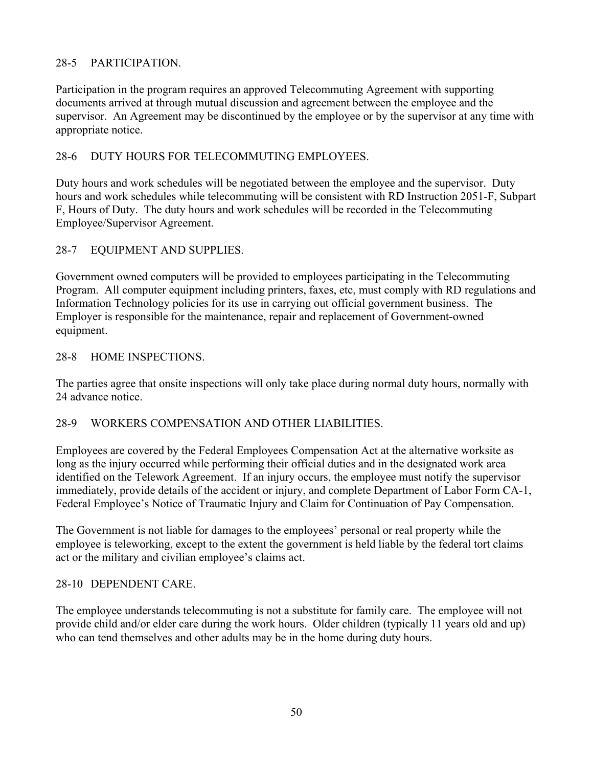# 28-5 PARTICIPATION.

Participation in the program requires an approved Telecommuting Agreement with supporting documents arrived at through mutual discussion and agreement between the employee and the supervisor. An Agreement may be discontinued by the employee or by the supervisor at any time with appropriate notice.

# 28-6 DUTY HOURS FOR TELECOMMUTING EMPLOYEES.

Duty hours and work schedules will be negotiated between the employee and the supervisor. Duty hours and work schedules while telecommuting will be consistent with RD Instruction 2051-F, Subpart F, Hours of Duty. The duty hours and work schedules will be recorded in the Telecommuting Employee/Supervisor Agreement.

# 28-7 EQUIPMENT AND SUPPLIES.

 Employer is responsible for the maintenance, repair and replacement of Government-owned Government owned computers will be provided to employees participating in the Telecommuting Program. All computer equipment including printers, faxes, etc, must comply with RD regulations and Information Technology policies for its use in carrying out official government business. The equipment.

# 28-8 HOME INSPECTIONS.

 The parties agree that onsite inspections will only take place during normal duty hours, normally with 24 advance notice.

# 28-9 WORKERS COMPENSATION AND OTHER LIABILITIES.

Employees are covered by the Federal Employees Compensation Act at the alternative worksite as long as the injury occurred while performing their official duties and in the designated work area identified on the Telework Agreement. If an injury occurs, the employee must notify the supervisor immediately, provide details of the accident or injury, and complete Department of Labor Form CA-1, Federal Employee's Notice of Traumatic Injury and Claim for Continuation of Pay Compensation.

 The Government is not liable for damages to the employees' personal or real property while the act or the military and civilian employee's claims act. employee is teleworking, except to the extent the government is held liable by the federal tort claims

# 28-10 DEPENDENT CARE.

The employee understands telecommuting is not a substitute for family care. The employee will not provide child and/or elder care during the work hours. Older children (typically 11 years old and up) who can tend themselves and other adults may be in the home during duty hours.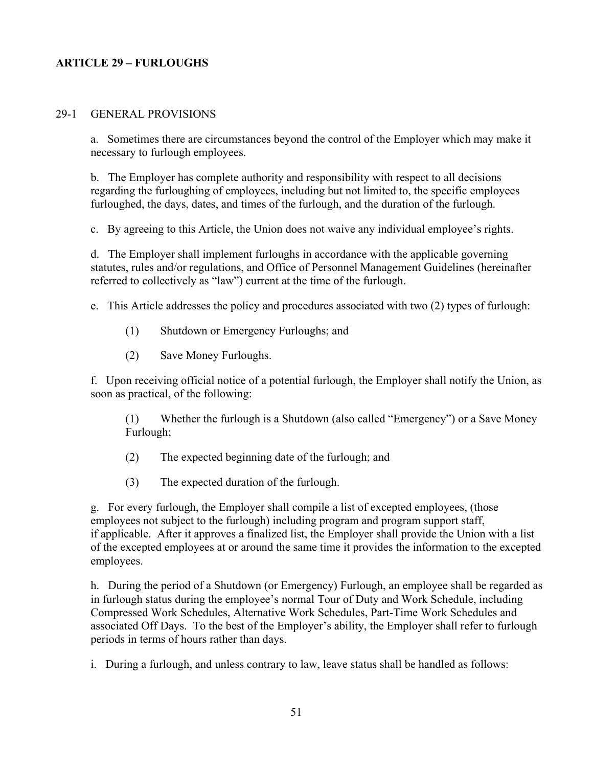#### <span id="page-50-0"></span>**ARTICLE 29 – FURLOUGHS**

#### 29-1 GENERAL PROVISIONS

 a. Sometimes there are circumstances beyond the control of the Employer which may make it necessary to furlough employees.

b. The Employer has complete authority and responsibility with respect to all decisions regarding the furloughing of employees, including but not limited to, the specific employees furloughed, the days, dates, and times of the furlough, and the duration of the furlough.

c. By agreeing to this Article, the Union does not waive any individual employee's rights.

 statutes, rules and/or regulations, and Office of Personnel Management Guidelines (hereinafter d. The Employer shall implement furloughs in accordance with the applicable governing referred to collectively as "law") current at the time of the furlough.

e. This Article addresses the policy and procedures associated with two (2) types of furlough: (1) Shutdown or Emergency Furloughs; and

- 
- (2) Save Money Furloughs.

f. Upon receiving official notice of a potential furlough, the Employer shall notify the Union, as soon as practical, of the following:

 (1) Whether the furlough is a Shutdown (also called "Emergency") or a Save Money Furlough;

- (2) The expected beginning date of the furlough; and
- (3) The expected duration of the furlough.

g. For every furlough, the Employer shall compile a list of excepted employees, (those employees not subject to the furlough) including program and program support staff, if applicable. After it approves a finalized list, the Employer shall provide the Union with a list of the excepted employees at or around the same time it provides the information to the excepted employees.

 h. During the period of a Shutdown (or Emergency) Furlough, an employee shall be regarded as in furlough status during the employee's normal Tour of Duty and Work Schedule, including Compressed Work Schedules, Alternative Work Schedules, Part-Time Work Schedules and associated Off Days. To the best of the Employer's ability, the Employer shall refer to furlough periods in terms of hours rather than days.

i. During a furlough, and unless contrary to law, leave status shall be handled as follows: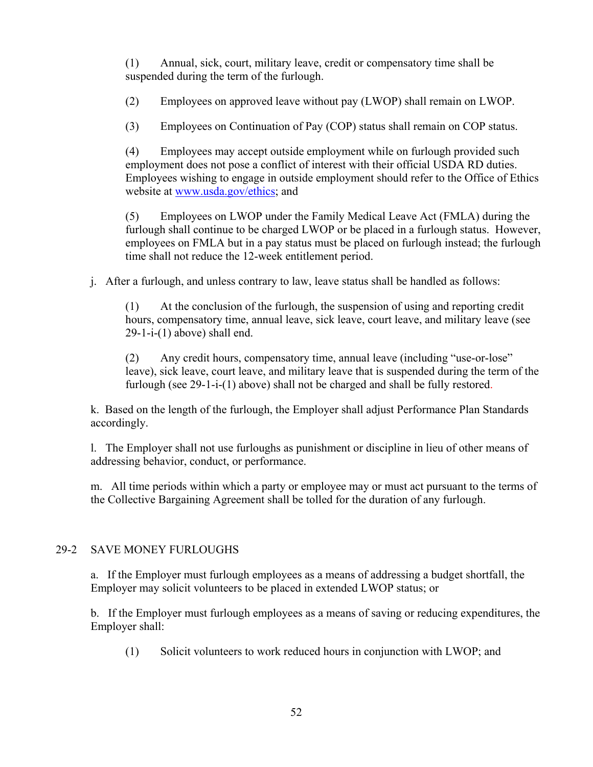(1) Annual, sick, court, military leave, credit or compensatory time shall be suspended during the term of the furlough.

(2) Employees on approved leave without pay (LWOP) shall remain on LWOP.

(3) Employees on Continuation of Pay (COP) status shall remain on COP status.

employment does not pose a conflict of interest with their official USDA RD duties. employment does not pose a conflict of interest with their official USDA RD duties. Employees wishing to engage in outside employment should refer to the Office of Ethics (4) Employees may accept outside employment while on furlough provided such website at [www.usda.gov/ethics;](http://www.usda.gov/ethics) and

(5) Employees on LWOP under the Family Medical Leave Act (FMLA) during the furlough shall continue to be charged LWOP or be placed in a furlough status. However, employees on FMLA but in a pay status must be placed on furlough instead; the furlough time shall not reduce the 12-week entitlement period.

j. After a furlough, and unless contrary to law, leave status shall be handled as follows:

 $(1)$  hours, compensatory time, annual leave, sick leave, court leave, and military leave (see (1) At the conclusion of the furlough, the suspension of using and reporting credit  $29-1-i-(1)$  above) shall end.

 furlough (see 29-1-i-(1) above) shall not be charged and shall be fully restored. (2) Any credit hours, compensatory time, annual leave (including "use-or-lose" leave), sick leave, court leave, and military leave that is suspended during the term of the

k. Based on the length of the furlough, the Employer shall adjust Performance Plan Standards accordingly.

l. The Employer shall not use furloughs as punishment or discipline in lieu of other means of addressing behavior, conduct, or performance.

 m. All time periods within which a party or employee may or must act pursuant to the terms of the Collective Bargaining Agreement shall be tolled for the duration of any furlough.

# 29-2 SAVE MONEY FURLOUGHS

a. If the Employer must furlough employees as a means of addressing a budget shortfall, the Employer may solicit volunteers to be placed in extended LWOP status; or

 b. If the Employer must furlough employees as a means of saving or reducing expenditures, the Employer shall:

(1) Solicit volunteers to work reduced hours in conjunction with LWOP; and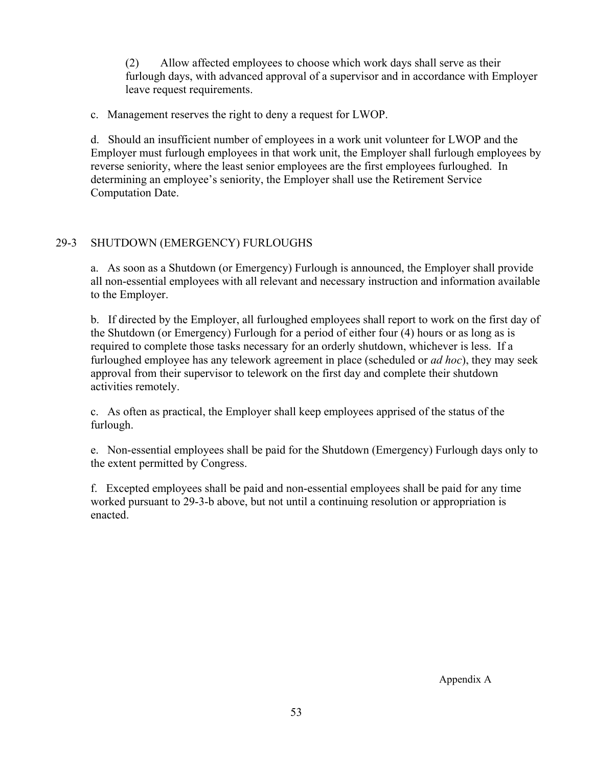(2) Allow affected employees to choose which work days shall serve as their furlough days, with advanced approval of a supervisor and in accordance with Employer leave request requirements.

c. Management reserves the right to deny a request for LWOP.

d. Should an insufficient number of employees in a work unit volunteer for LWOP and the Employer must furlough employees in that work unit, the Employer shall furlough employees by reverse seniority, where the least senior employees are the first employees furloughed. In determining an employee's seniority, the Employer shall use the Retirement Service Computation Date.

# 29-3 SHUTDOWN (EMERGENCY) FURLOUGHS

a. As soon as a Shutdown (or Emergency) Furlough is announced, the Employer shall provide all non-essential employees with all relevant and necessary instruction and information available to the Employer.

 b. If directed by the Employer, all furloughed employees shall report to work on the first day of the Shutdown (or Emergency) Furlough for a period of either four (4) hours or as long as is required to complete those tasks necessary for an orderly shutdown, whichever is less. If a furloughed employee has any telework agreement in place (scheduled or *ad hoc*), they may seek approval from their supervisor to telework on the first day and complete their shutdown activities remotely.

c. As often as practical, the Employer shall keep employees apprised of the status of the furlough.

e. Non-essential employees shall be paid for the Shutdown (Emergency) Furlough days only to the extent permitted by Congress.

f. Excepted employees shall be paid and non-essential employees shall be paid for any time worked pursuant to 29-3-b above, but not until a continuing resolution or appropriation is enacted.

Appendix A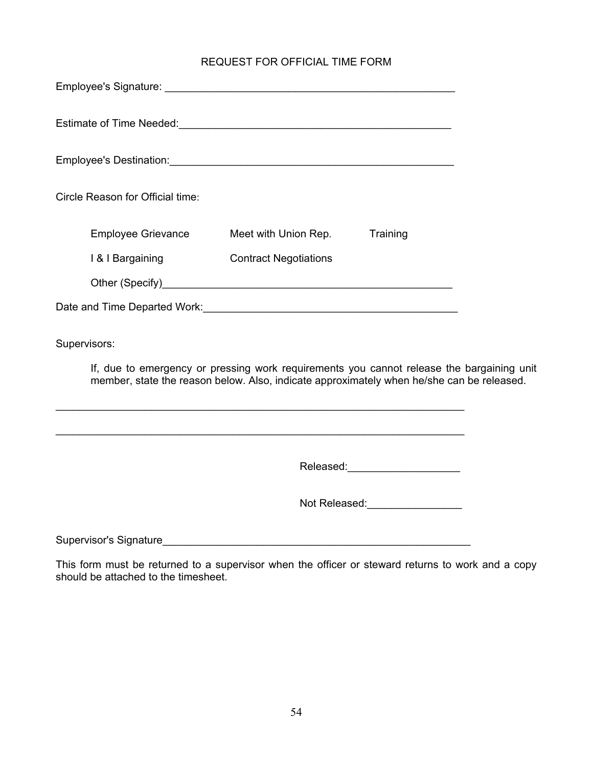#### REQUEST FOR OFFICIAL TIME FORM

<span id="page-53-0"></span>

| Employee's Signature: <u>Contract Contract Contract Contract Contract Contract Contract Contract Contract Contract Contract Contract Contract Contract Contract Contract Contract Contract Contract Contract Contract Contract C</u> |                                         |                                |  |  |  |  |  |
|--------------------------------------------------------------------------------------------------------------------------------------------------------------------------------------------------------------------------------------|-----------------------------------------|--------------------------------|--|--|--|--|--|
|                                                                                                                                                                                                                                      |                                         |                                |  |  |  |  |  |
|                                                                                                                                                                                                                                      |                                         |                                |  |  |  |  |  |
| Circle Reason for Official time:                                                                                                                                                                                                     |                                         |                                |  |  |  |  |  |
|                                                                                                                                                                                                                                      | Employee Grievance Meet with Union Rep. | Training                       |  |  |  |  |  |
| I & I Bargaining                                                                                                                                                                                                                     | <b>Contract Negotiations</b>            |                                |  |  |  |  |  |
|                                                                                                                                                                                                                                      |                                         |                                |  |  |  |  |  |
|                                                                                                                                                                                                                                      |                                         |                                |  |  |  |  |  |
| Supervisors:                                                                                                                                                                                                                         |                                         |                                |  |  |  |  |  |
| If, due to emergency or pressing work requirements you cannot release the bargaining unit<br>member, state the reason below. Also, indicate approximately when he/she can be released.                                               |                                         |                                |  |  |  |  |  |
|                                                                                                                                                                                                                                      |                                         |                                |  |  |  |  |  |
|                                                                                                                                                                                                                                      |                                         | Released:_____________________ |  |  |  |  |  |
|                                                                                                                                                                                                                                      |                                         | Not Released: Not Released:    |  |  |  |  |  |
|                                                                                                                                                                                                                                      |                                         |                                |  |  |  |  |  |

This form must be returned to a supervisor when the officer or steward returns to work and a copy should be attached to the timesheet.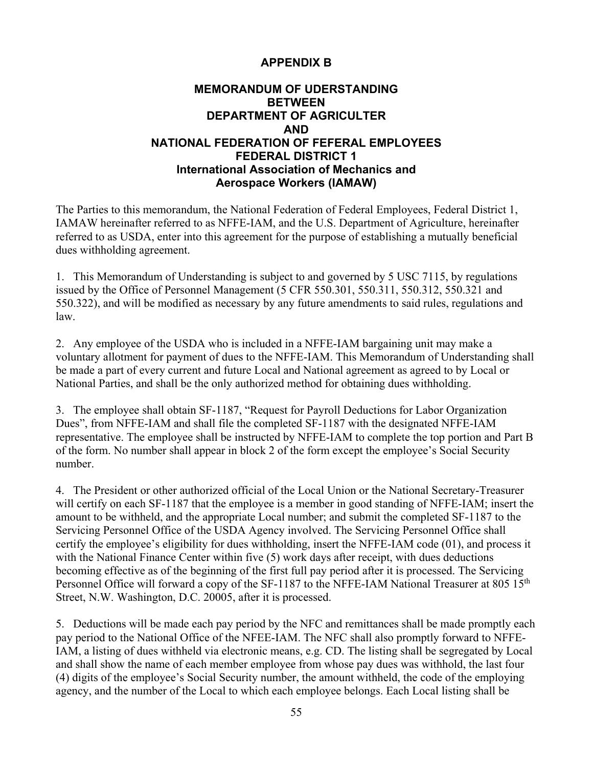# **APPENDIX B**

# <span id="page-54-0"></span>**MEMORANDUM OF UDERSTANDING BETWEEN DEPARTMENT OF AGRICULTER AND NATIONAL FEDERATION OF FEFERAL EMPLOYEES FEDERAL DISTRICT 1 International Association of Mechanics and Aerospace Workers (IAMAW)**

 IAMAW hereinafter referred to as NFFE-IAM, and the U.S. Department of Agriculture, hereinafter The Parties to this memorandum, the National Federation of Federal Employees, Federal District 1, referred to as USDA, enter into this agreement for the purpose of establishing a mutually beneficial dues withholding agreement.

1. This Memorandum of Understanding is subject to and governed by 5 USC 7115, by regulations issued by the Office of Personnel Management (5 CFR 550.301, 550.311, 550.312, 550.321 and 550.322), and will be modified as necessary by any future amendments to said rules, regulations and law.

2. Any employee of the USDA who is included in a NFFE-IAM bargaining unit may make a voluntary allotment for payment of dues to the NFFE-IAM. This Memorandum of Understanding shall be made a part of every current and future Local and National agreement as agreed to by Local or National Parties, and shall be the only authorized method for obtaining dues withholding.

 of the form. No number shall appear in block 2 of the form except the employee's Social Security 3. The employee shall obtain SF-1187, "Request for Payroll Deductions for Labor Organization Dues", from NFFE-IAM and shall file the completed SF-1187 with the designated NFFE-IAM representative. The employee shall be instructed by NFFE-IAM to complete the top portion and Part B number.

 with the National Finance Center within five (5) work days after receipt, with dues deductions Street, N.W. Washington, D.C. 20005, after it is processed. 4. The President or other authorized official of the Local Union or the National Secretary-Treasurer will certify on each SF-1187 that the employee is a member in good standing of NFFE-IAM; insert the amount to be withheld, and the appropriate Local number; and submit the completed SF-1187 to the Servicing Personnel Office of the USDA Agency involved. The Servicing Personnel Office shall certify the employee's eligibility for dues withholding, insert the NFFE-IAM code (01), and process it becoming effective as of the beginning of the first full pay period after it is processed. The Servicing Personnel Office will forward a copy of the SF-1187 to the NFFE-IAM National Treasurer at 805 15<sup>th</sup>

 IAM, a listing of dues withheld via electronic means, e.g. CD. The listing shall be segregated by Local 5. Deductions will be made each pay period by the NFC and remittances shall be made promptly each pay period to the National Office of the NFEE-IAM. The NFC shall also promptly forward to NFFEand shall show the name of each member employee from whose pay dues was withhold, the last four (4) digits of the employee's Social Security number, the amount withheld, the code of the employing agency, and the number of the Local to which each employee belongs. Each Local listing shall be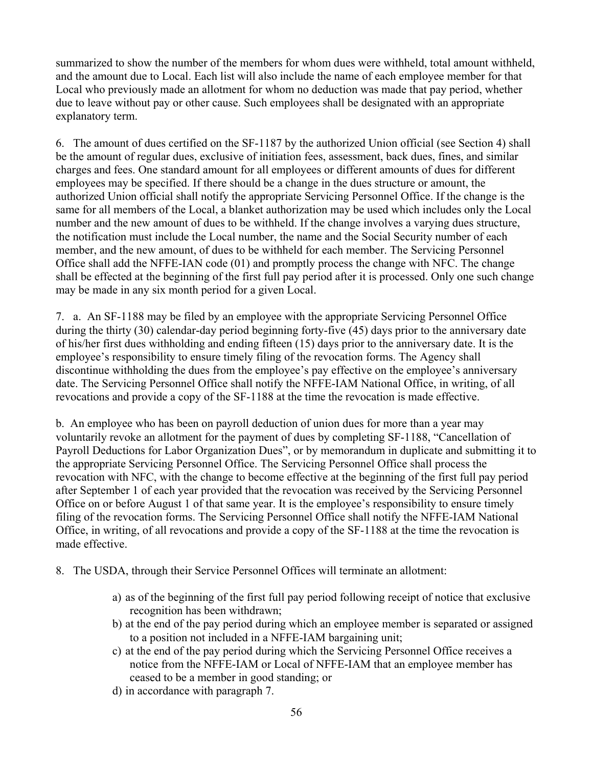and the amount due to Local. Each list will also include the name of each employee member for that summarized to show the number of the members for whom dues were withheld, total amount withheld, Local who previously made an allotment for whom no deduction was made that pay period, whether due to leave without pay or other cause. Such employees shall be designated with an appropriate explanatory term.

 employees may be specified. If there should be a change in the dues structure or amount, the same for all members of the Local, a blanket authorization may be used which includes only the Local member, and the new amount, of dues to be withheld for each member. The Servicing Personnel may be made in any six month period for a given Local. 6. The amount of dues certified on the SF-1187 by the authorized Union official (see Section 4) shall be the amount of regular dues, exclusive of initiation fees, assessment, back dues, fines, and similar charges and fees. One standard amount for all employees or different amounts of dues for different authorized Union official shall notify the appropriate Servicing Personnel Office. If the change is the number and the new amount of dues to be withheld. If the change involves a varying dues structure, the notification must include the Local number, the name and the Social Security number of each Office shall add the NFFE-IAN code (01) and promptly process the change with NFC. The change shall be effected at the beginning of the first full pay period after it is processed. Only one such change

 during the thirty (30) calendar-day period beginning forty-five (45) days prior to the anniversary date of his/her first dues withholding and ending fifteen (15) days prior to the anniversary date. It is the revocations and provide a copy of the SF-1188 at the time the revocation is made effective. 7. a. An SF-1188 may be filed by an employee with the appropriate Servicing Personnel Office employee's responsibility to ensure timely filing of the revocation forms. The Agency shall discontinue withholding the dues from the employee's pay effective on the employee's anniversary date. The Servicing Personnel Office shall notify the NFFE-IAM National Office, in writing, of all

 Payroll Deductions for Labor Organization Dues", or by memorandum in duplicate and submitting it to after September 1 of each year provided that the revocation was received by the Servicing Personnel Office, in writing, of all revocations and provide a copy of the SF-1188 at the time the revocation is b. An employee who has been on payroll deduction of union dues for more than a year may voluntarily revoke an allotment for the payment of dues by completing SF-1188, "Cancellation of the appropriate Servicing Personnel Office. The Servicing Personnel Office shall process the revocation with NFC, with the change to become effective at the beginning of the first full pay period Office on or before August 1 of that same year. It is the employee's responsibility to ensure timely filing of the revocation forms. The Servicing Personnel Office shall notify the NFFE-IAM National made effective.

- 8. The USDA, through their Service Personnel Offices will terminate an allotment:
	- a) as of the beginning of the first full pay period following receipt of notice that exclusive recognition has been withdrawn;
	- b) at the end of the pay period during which an employee member is separated or assigned to a position not included in a NFFE-IAM bargaining unit;
	- c) at the end of the pay period during which the Servicing Personnel Office receives a notice from the NFFE-IAM or Local of NFFE-IAM that an employee member has ceased to be a member in good standing; or
	- d) in accordance with paragraph 7.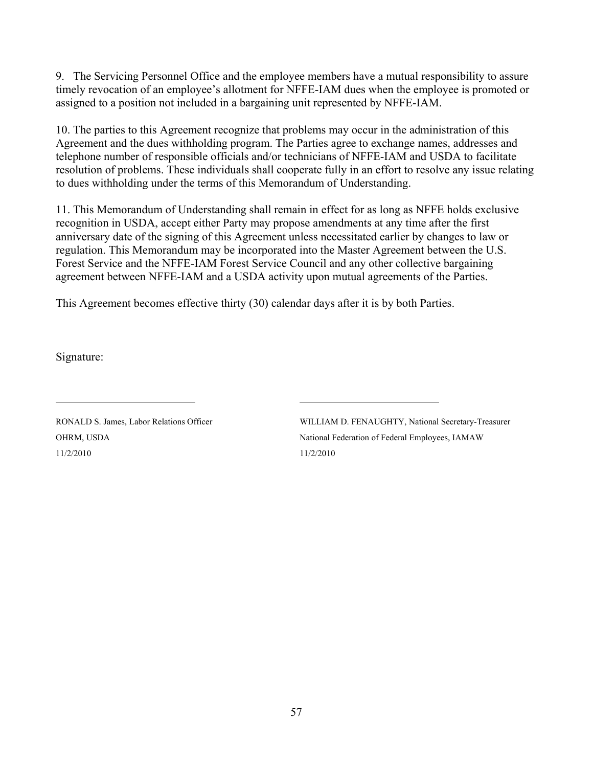9. The Servicing Personnel Office and the employee members have a mutual responsibility to assure timely revocation of an employee's allotment for NFFE-IAM dues when the employee is promoted or assigned to a position not included in a bargaining unit represented by NFFE-IAM.

 10. The parties to this Agreement recognize that problems may occur in the administration of this Agreement and the dues withholding program. The Parties agree to exchange names, addresses and telephone number of responsible officials and/or technicians of NFFE-IAM and USDA to facilitate resolution of problems. These individuals shall cooperate fully in an effort to resolve any issue relating to dues withholding under the terms of this Memorandum of Understanding.

11. This Memorandum of Understanding shall remain in effect for as long as NFFE holds exclusive recognition in USDA, accept either Party may propose amendments at any time after the first anniversary date of the signing of this Agreement unless necessitated earlier by changes to law or regulation. This Memorandum may be incorporated into the Master Agreement between the U.S. Forest Service and the NFFE-IAM Forest Service Council and any other collective bargaining agreement between NFFE-IAM and a USDA activity upon mutual agreements of the Parties.

This Agreement becomes effective thirty (30) calendar days after it is by both Parties.

Signature:

 $\overline{a}$ 

OHRM, USDA 11/2/2010 11/2/2010 11/2/2010

RONALD S. James, Labor Relations Officer WILLIAM D. FENAUGHTY, National Secretary-Treasurer National Federation of Federal Employees, IAMAW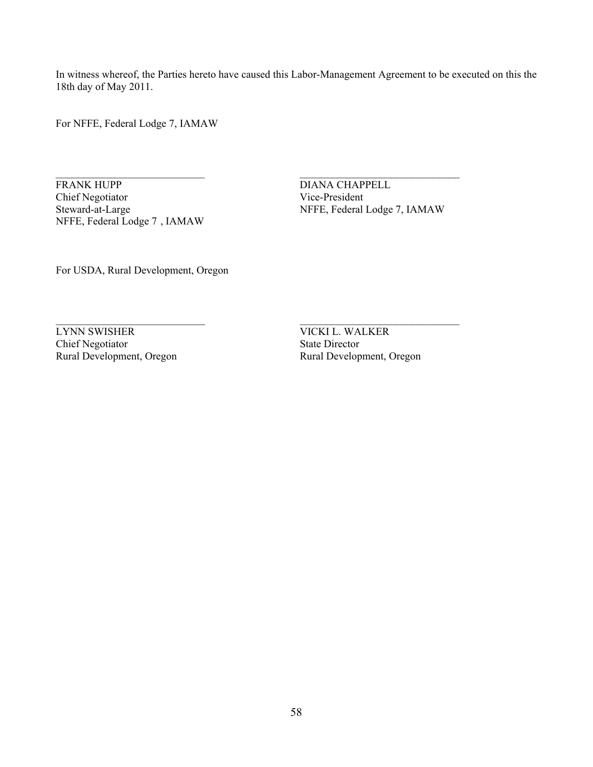In witness whereof, the Parties hereto have caused this Labor-Management Agreement to be executed on this the 18th day of May 2011.

\_\_\_\_\_\_\_\_\_\_\_\_\_\_\_\_\_\_\_\_\_\_\_\_\_\_\_\_ \_\_\_\_\_\_\_\_\_\_\_\_\_\_\_\_\_\_\_\_\_\_\_\_\_\_\_\_\_\_

For NFFE, Federal Lodge 7, IAMAW

**FRANK HUPP**  Chief Negotiator Vice-President Steward-at-Large NFFE, Federal Lodge 7 , IAMAW

\_\_\_\_\_\_\_\_\_\_\_\_\_\_\_\_\_\_\_\_\_\_\_\_\_\_\_\_ \_\_\_\_\_\_\_\_\_\_\_\_\_\_\_\_\_\_\_\_\_\_\_\_\_\_\_\_\_\_ DIANA CHAPPELL<br>Vice-President NFFE, Federal Lodge 7, IAMAW

For USDA, Rural Development, Oregon

LYNN SWISHER Chief Negotiator State Director Rural Development, Oregon

VICKI L. WALKER Rural Development, Oregon Rural Development, Oregon